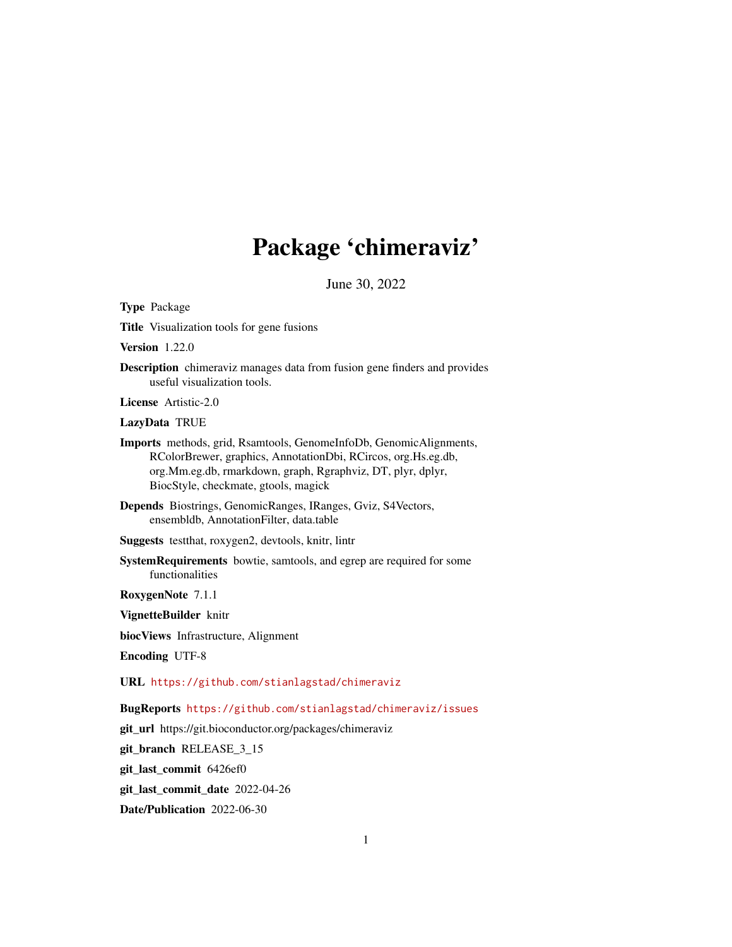## Package 'chimeraviz'

June 30, 2022

Type Package

Title Visualization tools for gene fusions

Version 1.22.0

Description chimeraviz manages data from fusion gene finders and provides useful visualization tools.

License Artistic-2.0

LazyData TRUE

Imports methods, grid, Rsamtools, GenomeInfoDb, GenomicAlignments, RColorBrewer, graphics, AnnotationDbi, RCircos, org.Hs.eg.db, org.Mm.eg.db, rmarkdown, graph, Rgraphviz, DT, plyr, dplyr, BiocStyle, checkmate, gtools, magick

Depends Biostrings, GenomicRanges, IRanges, Gviz, S4Vectors, ensembldb, AnnotationFilter, data.table

Suggests testthat, roxygen2, devtools, knitr, lintr

SystemRequirements bowtie, samtools, and egrep are required for some functionalities

RoxygenNote 7.1.1

VignetteBuilder knitr

biocViews Infrastructure, Alignment

Encoding UTF-8

URL <https://github.com/stianlagstad/chimeraviz>

BugReports <https://github.com/stianlagstad/chimeraviz/issues>

git\_url https://git.bioconductor.org/packages/chimeraviz

git\_branch RELEASE\_3\_15

git\_last\_commit 6426ef0

git\_last\_commit\_date 2022-04-26

Date/Publication 2022-06-30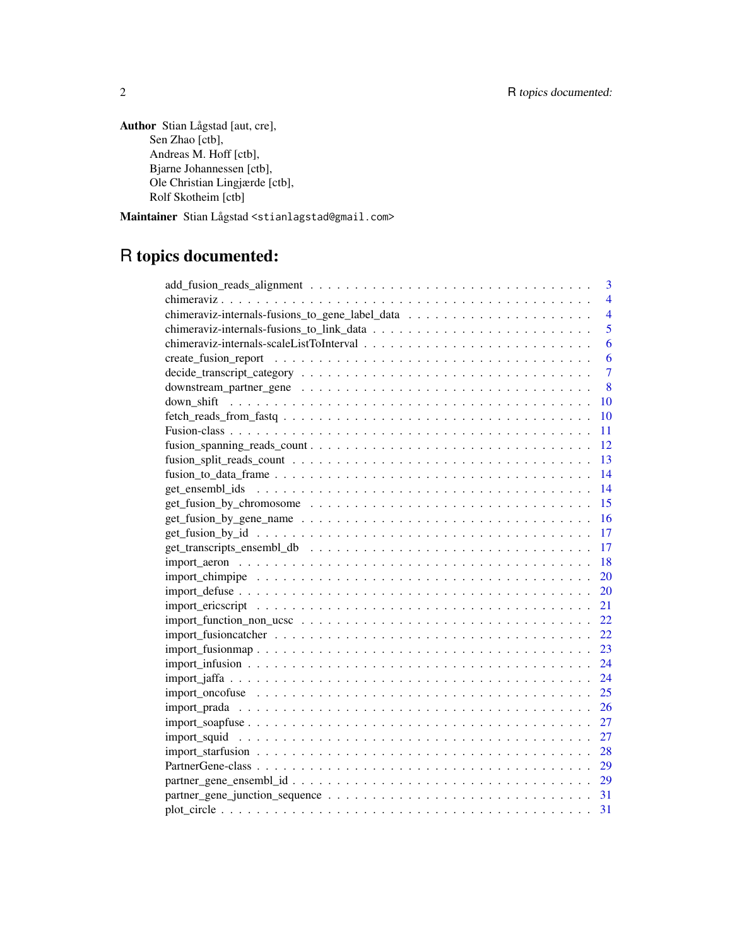Author Stian Lågstad [aut, cre], Sen Zhao [ctb], Andreas M. Hoff [ctb], Bjarne Johannessen [ctb], Ole Christian Lingjærde [ctb], Rolf Skotheim [ctb]

Maintainer Stian Lågstad <stianlagstad@gmail.com>

## R topics documented:

| 3                                                                                                                                                                                                                                                                                                                      |
|------------------------------------------------------------------------------------------------------------------------------------------------------------------------------------------------------------------------------------------------------------------------------------------------------------------------|
| $\overline{4}$                                                                                                                                                                                                                                                                                                         |
| $\overline{4}$                                                                                                                                                                                                                                                                                                         |
| 5                                                                                                                                                                                                                                                                                                                      |
| 6                                                                                                                                                                                                                                                                                                                      |
| 6                                                                                                                                                                                                                                                                                                                      |
| $\overline{7}$                                                                                                                                                                                                                                                                                                         |
| 8                                                                                                                                                                                                                                                                                                                      |
| 10                                                                                                                                                                                                                                                                                                                     |
| $fectc$ $\text{t}$ $\text{t}$ $\text{t}$ $\text{t}$ $\text{t}$ $\text{t}$ $\text{t}$ $\text{t}$ $\text{t}$ $\text{t}$ $\text{t}$ $\text{t}$ $\text{t}$ $\text{t}$ $\text{t}$ $\text{t}$ $\text{t}$ $\text{t}$ $\text{t}$ $\text{t}$ $\text{t}$ $\text{t}$ $\text{t}$ $\text{t}$ $\text{t}$ $\text{t}$ $\text{t}$<br>10 |
| 11                                                                                                                                                                                                                                                                                                                     |
| 12                                                                                                                                                                                                                                                                                                                     |
| 13                                                                                                                                                                                                                                                                                                                     |
|                                                                                                                                                                                                                                                                                                                        |
| 14                                                                                                                                                                                                                                                                                                                     |
| 15                                                                                                                                                                                                                                                                                                                     |
| 16                                                                                                                                                                                                                                                                                                                     |
| 17                                                                                                                                                                                                                                                                                                                     |
| 17                                                                                                                                                                                                                                                                                                                     |
| 18                                                                                                                                                                                                                                                                                                                     |
| 20                                                                                                                                                                                                                                                                                                                     |
| 20                                                                                                                                                                                                                                                                                                                     |
| 21                                                                                                                                                                                                                                                                                                                     |
| 22                                                                                                                                                                                                                                                                                                                     |
| 22                                                                                                                                                                                                                                                                                                                     |
| 23                                                                                                                                                                                                                                                                                                                     |
| 24                                                                                                                                                                                                                                                                                                                     |
| 24                                                                                                                                                                                                                                                                                                                     |
| 25                                                                                                                                                                                                                                                                                                                     |
| 26                                                                                                                                                                                                                                                                                                                     |
| 27                                                                                                                                                                                                                                                                                                                     |
| 27                                                                                                                                                                                                                                                                                                                     |
| 28                                                                                                                                                                                                                                                                                                                     |
| 29                                                                                                                                                                                                                                                                                                                     |
|                                                                                                                                                                                                                                                                                                                        |
|                                                                                                                                                                                                                                                                                                                        |
|                                                                                                                                                                                                                                                                                                                        |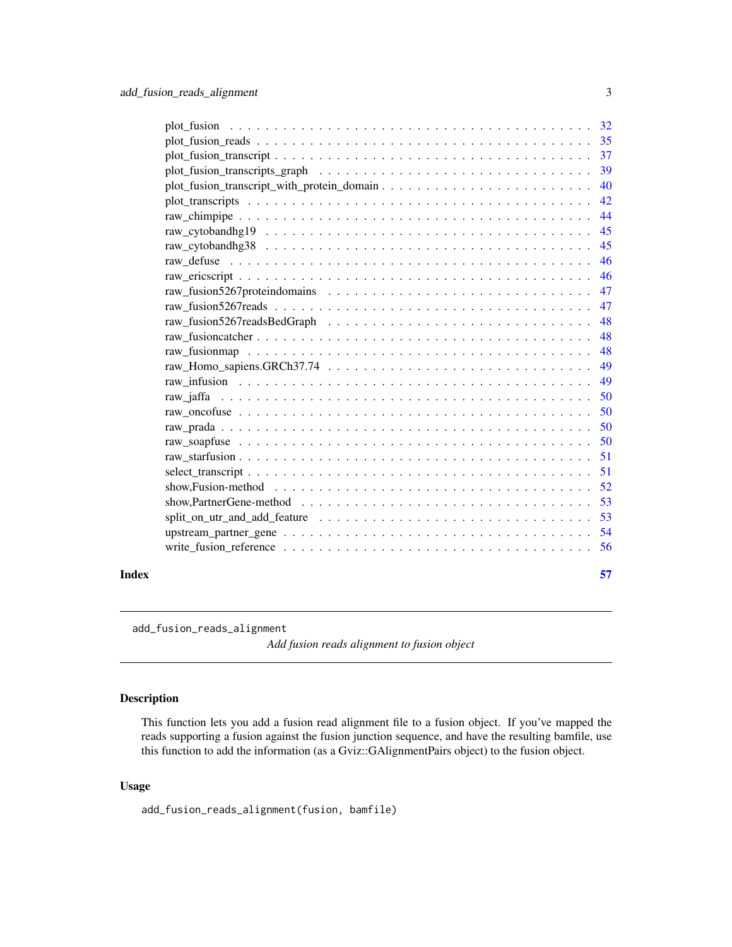<span id="page-2-0"></span>

|       |                                                                                                                     | 40   |
|-------|---------------------------------------------------------------------------------------------------------------------|------|
|       |                                                                                                                     | 42   |
|       |                                                                                                                     | 44   |
|       |                                                                                                                     | 45   |
|       |                                                                                                                     | 45   |
|       |                                                                                                                     | 46   |
|       |                                                                                                                     | -46  |
|       |                                                                                                                     | 47   |
|       |                                                                                                                     | 47   |
|       |                                                                                                                     | 48   |
|       |                                                                                                                     | 48   |
|       |                                                                                                                     | 48   |
|       |                                                                                                                     | 49   |
|       |                                                                                                                     | 49   |
|       |                                                                                                                     | 50   |
|       |                                                                                                                     | 50   |
|       |                                                                                                                     | 50   |
|       |                                                                                                                     | 50   |
|       |                                                                                                                     | 51   |
|       |                                                                                                                     | 51   |
|       | show, Fusion-method $\ldots \ldots \ldots \ldots \ldots \ldots \ldots \ldots \ldots \ldots \ldots \ldots \ldots 52$ |      |
|       |                                                                                                                     | 53   |
|       |                                                                                                                     | 53   |
|       |                                                                                                                     | - 54 |
|       |                                                                                                                     |      |
|       |                                                                                                                     |      |
| Index |                                                                                                                     | 57   |

add\_fusion\_reads\_alignment

*Add fusion reads alignment to fusion object*

### Description

This function lets you add a fusion read alignment file to a fusion object. If you've mapped the reads supporting a fusion against the fusion junction sequence, and have the resulting bamfile, use this function to add the information (as a Gviz::GAlignmentPairs object) to the fusion object.

### Usage

add\_fusion\_reads\_alignment(fusion, bamfile)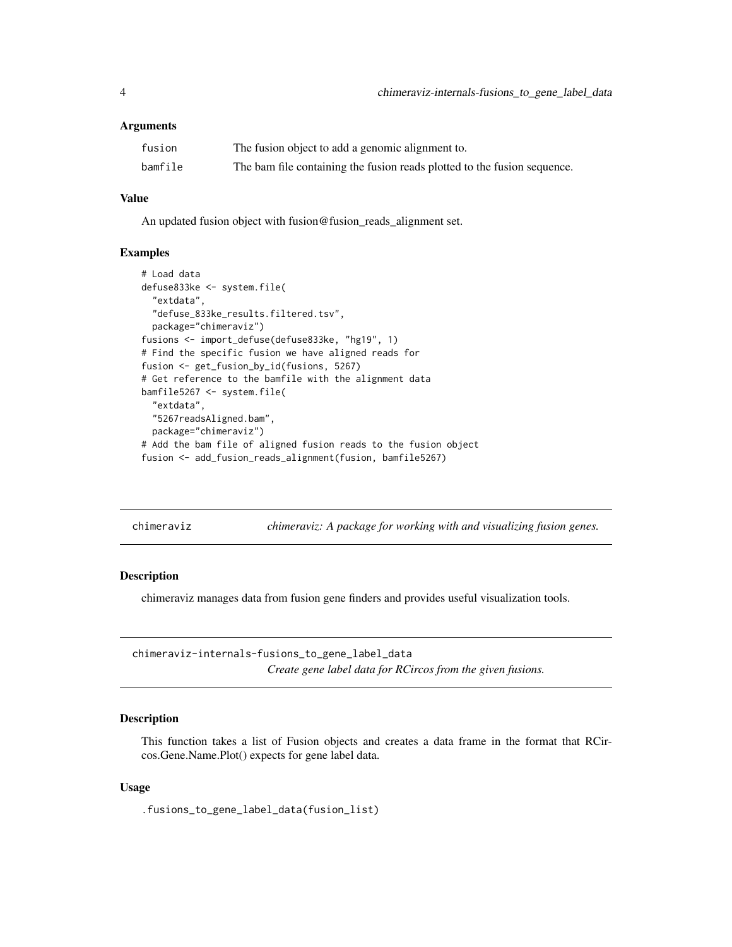### <span id="page-3-0"></span>**Arguments**

| fusion  | The fusion object to add a genomic alignment to.                         |
|---------|--------------------------------------------------------------------------|
| bamfile | The bam file containing the fusion reads plotted to the fusion sequence. |

#### Value

An updated fusion object with fusion@fusion\_reads\_alignment set.

### Examples

```
# Load data
defuse833ke <- system.file(
  "extdata",
  "defuse_833ke_results.filtered.tsv",
  package="chimeraviz")
fusions <- import_defuse(defuse833ke, "hg19", 1)
# Find the specific fusion we have aligned reads for
fusion <- get_fusion_by_id(fusions, 5267)
# Get reference to the bamfile with the alignment data
bamfile5267 <- system.file(
  "extdata",
  "5267readsAligned.bam",
  package="chimeraviz")
# Add the bam file of aligned fusion reads to the fusion object
fusion <- add_fusion_reads_alignment(fusion, bamfile5267)
```

| chimeraviz |  |  |  |  |  |
|------------|--|--|--|--|--|
|            |  |  |  |  |  |
|            |  |  |  |  |  |

chimeraviz *chimeraviz: A package for working with and visualizing fusion genes.*

#### Description

chimeraviz manages data from fusion gene finders and provides useful visualization tools.

chimeraviz-internals-fusions\_to\_gene\_label\_data *Create gene label data for RCircos from the given fusions.*

### **Description**

This function takes a list of Fusion objects and creates a data frame in the format that RCircos.Gene.Name.Plot() expects for gene label data.

### Usage

.fusions\_to\_gene\_label\_data(fusion\_list)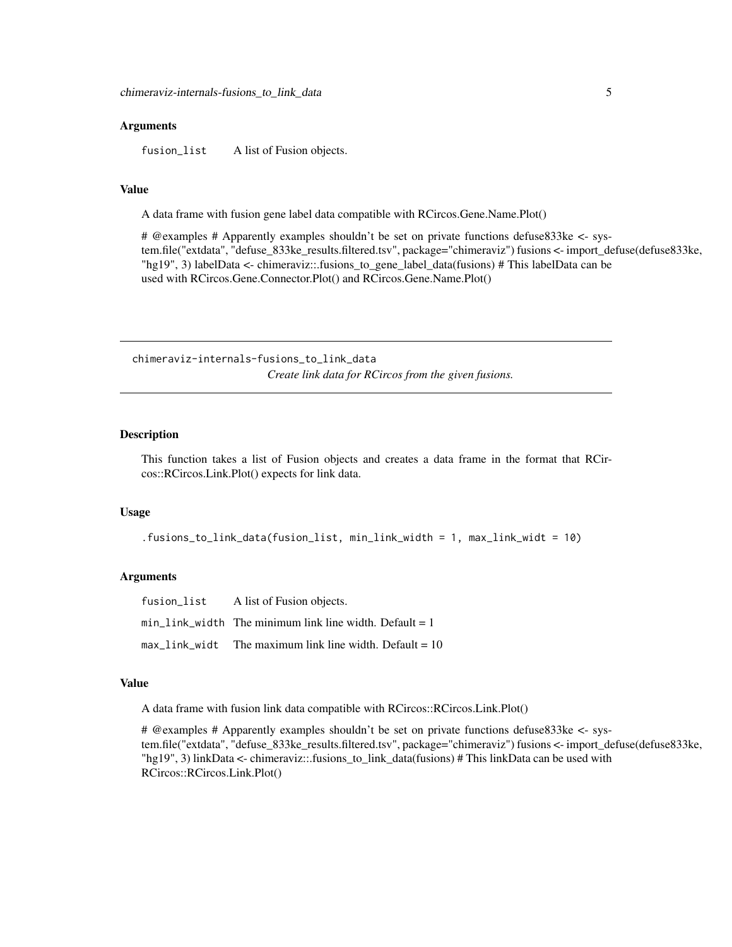### <span id="page-4-0"></span>Arguments

fusion\_list A list of Fusion objects.

### Value

A data frame with fusion gene label data compatible with RCircos.Gene.Name.Plot()

# @examples # Apparently examples shouldn't be set on private functions defuse833ke <- system.file("extdata", "defuse\_833ke\_results.filtered.tsv", package="chimeraviz") fusions <- import\_defuse(defuse833ke, "hg19", 3) labelData  $\lt$ - chimeraviz::.fusions to gene label data(fusions) # This labelData can be used with RCircos.Gene.Connector.Plot() and RCircos.Gene.Name.Plot()

chimeraviz-internals-fusions\_to\_link\_data *Create link data for RCircos from the given fusions.*

#### Description

This function takes a list of Fusion objects and creates a data frame in the format that RCircos::RCircos.Link.Plot() expects for link data.

### Usage

.fusions\_to\_link\_data(fusion\_list, min\_link\_width = 1, max\_link\_widt = 10)

#### Arguments

| fusion list | A list of Fusion objects.                                 |
|-------------|-----------------------------------------------------------|
|             | min link width The minimum link line width. Default $= 1$ |
|             | max link widt The maximum link line width. Default $= 10$ |

#### Value

A data frame with fusion link data compatible with RCircos::RCircos.Link.Plot()

# @examples # Apparently examples shouldn't be set on private functions defuse833ke <- system.file("extdata", "defuse\_833ke\_results.filtered.tsv", package="chimeraviz") fusions <- import\_defuse(defuse833ke, "hg19", 3) linkData <- chimeraviz::.fusions\_to\_link\_data(fusions) # This linkData can be used with RCircos::RCircos.Link.Plot()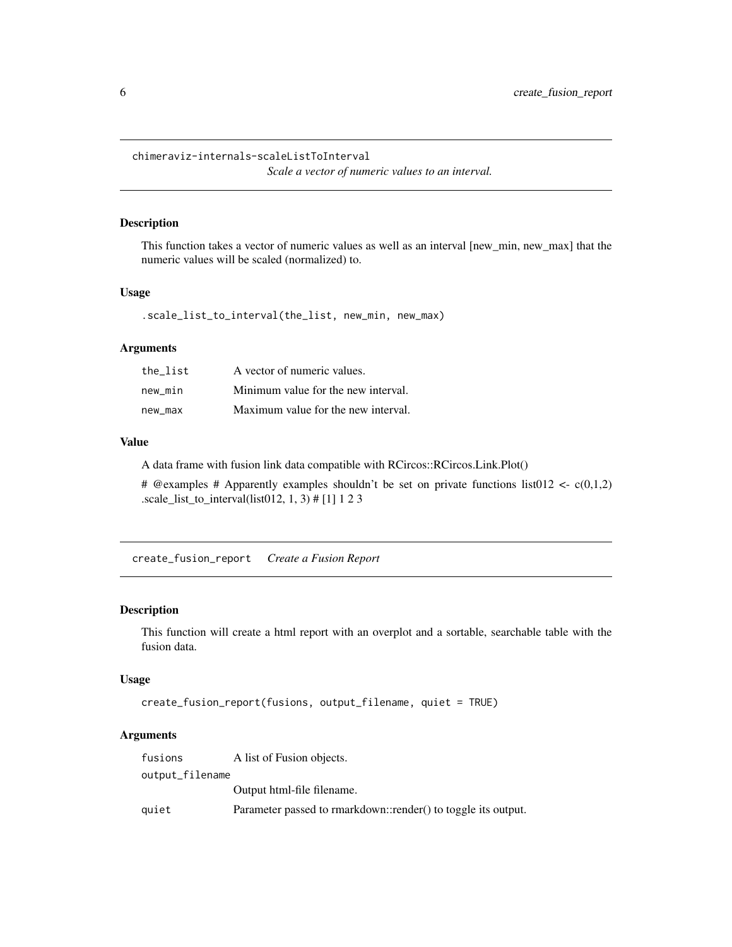<span id="page-5-0"></span>chimeraviz-internals-scaleListToInterval *Scale a vector of numeric values to an interval.*

### Description

This function takes a vector of numeric values as well as an interval [new\_min, new\_max] that the numeric values will be scaled (normalized) to.

### Usage

.scale\_list\_to\_interval(the\_list, new\_min, new\_max)

### Arguments

| the list | A vector of numeric values.         |
|----------|-------------------------------------|
| new min  | Minimum value for the new interval. |
| new max  | Maximum value for the new interval. |

### Value

A data frame with fusion link data compatible with RCircos::RCircos.Link.Plot()

# @examples # Apparently examples shouldn't be set on private functions list012 <-  $c(0,1,2)$ .scale\_list\_to\_interval(list012, 1, 3) # [1] 1 2 3

create\_fusion\_report *Create a Fusion Report*

### Description

This function will create a html report with an overplot and a sortable, searchable table with the fusion data.

### Usage

```
create_fusion_report(fusions, output_filename, quiet = TRUE)
```
### Arguments

| fusions         | A list of Fusion objects.                                     |
|-----------------|---------------------------------------------------------------|
| output_filename |                                                               |
|                 | Output html-file filename.                                    |
| quiet           | Parameter passed to rmarkdown::render() to toggle its output. |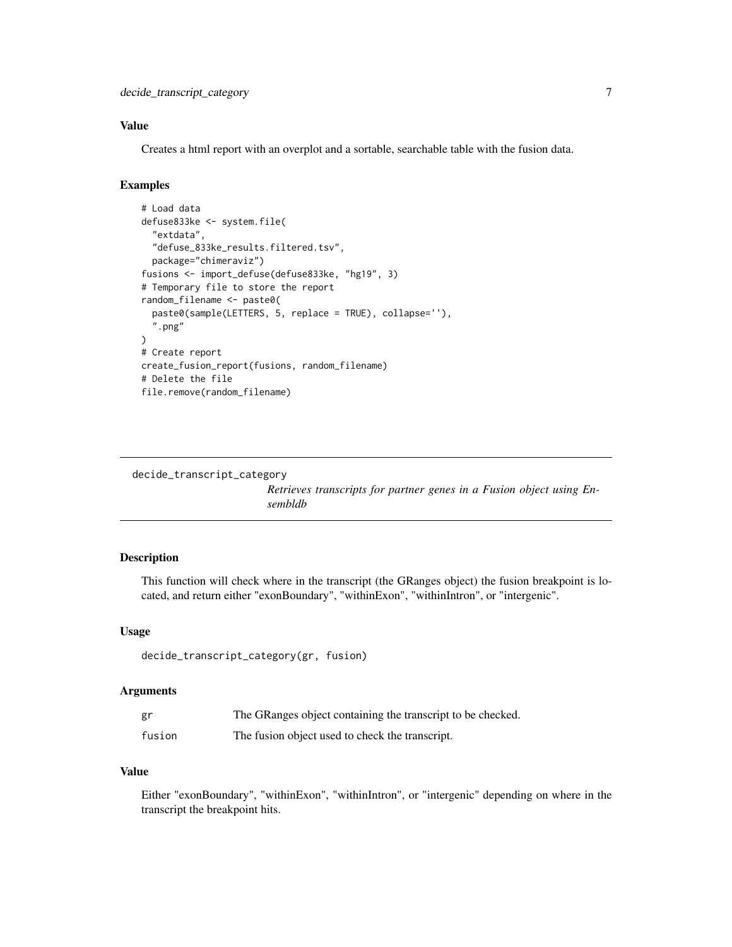<span id="page-6-0"></span>decide\_transcript\_category 7

### Value

Creates a html report with an overplot and a sortable, searchable table with the fusion data.

### Examples

```
# Load data
defuse833ke <- system.file(
  "extdata",
  "defuse_833ke_results.filtered.tsv",
  package="chimeraviz")
fusions <- import_defuse(defuse833ke, "hg19", 3)
# Temporary file to store the report
random_filename <- paste0(
  paste0(sample(LETTERS, 5, replace = TRUE), collapse=''),
  ".png"
\lambda# Create report
create_fusion_report(fusions, random_filename)
# Delete the file
file.remove(random_filename)
```
decide\_transcript\_category

*Retrieves transcripts for partner genes in a Fusion object using Ensembldb*

### Description

This function will check where in the transcript (the GRanges object) the fusion breakpoint is located, and return either "exonBoundary", "withinExon", "withinIntron", or "intergenic".

### Usage

```
decide_transcript_category(gr, fusion)
```
### Arguments

| gr     | The GRanges object containing the transcript to be checked. |
|--------|-------------------------------------------------------------|
| fusion | The fusion object used to check the transcript.             |

### Value

Either "exonBoundary", "withinExon", "withinIntron", or "intergenic" depending on where in the transcript the breakpoint hits.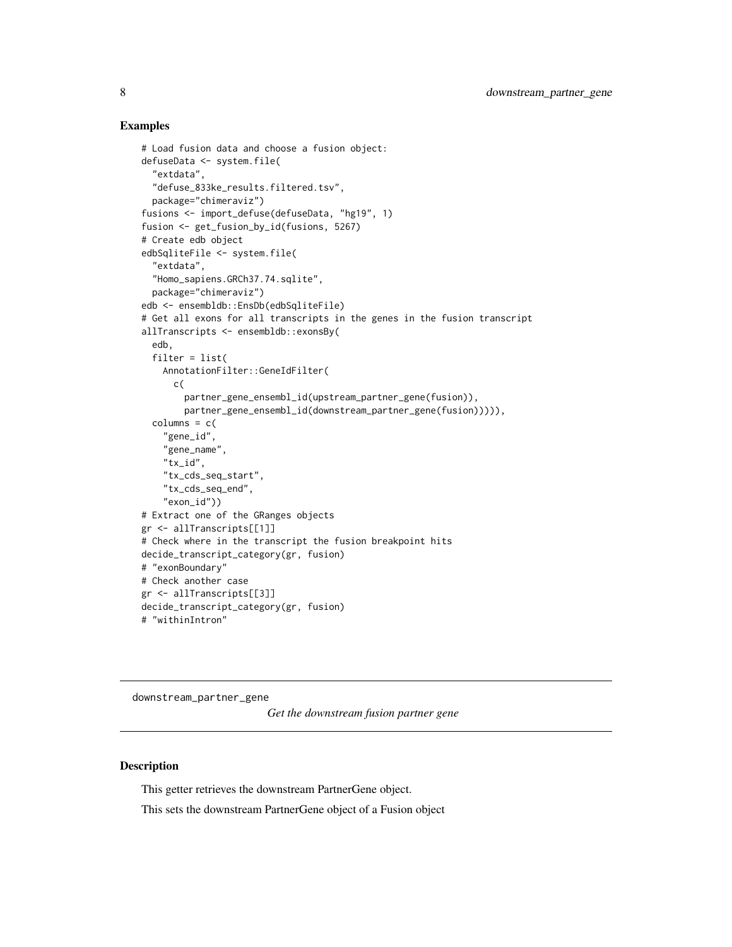### Examples

```
# Load fusion data and choose a fusion object:
defuseData <- system.file(
  "extdata",
 "defuse_833ke_results.filtered.tsv",
 package="chimeraviz")
fusions <- import_defuse(defuseData, "hg19", 1)
fusion <- get_fusion_by_id(fusions, 5267)
# Create edb object
edbSqliteFile <- system.file(
 "extdata",
 "Homo_sapiens.GRCh37.74.sqlite",
 package="chimeraviz")
edb <- ensembldb::EnsDb(edbSqliteFile)
# Get all exons for all transcripts in the genes in the fusion transcript
allTranscripts <- ensembldb::exonsBy(
 edb,
 filter = list(
   AnnotationFilter::GeneIdFilter(
     c(
        partner_gene_ensembl_id(upstream_partner_gene(fusion)),
       partner_gene_ensembl_id(downstream_partner_gene(fusion))))),
 column = c("gene_id",
    "gene_name",
    "tx_id",
    "tx_cds_seq_start",
    "tx_cds_seq_end",
    "exon_id"))
# Extract one of the GRanges objects
gr <- allTranscripts[[1]]
# Check where in the transcript the fusion breakpoint hits
decide_transcript_category(gr, fusion)
# "exonBoundary"
# Check another case
gr <- allTranscripts[[3]]
decide_transcript_category(gr, fusion)
# "withinIntron"
```
downstream\_partner\_gene

*Get the downstream fusion partner gene*

### Description

This getter retrieves the downstream PartnerGene object.

This sets the downstream PartnerGene object of a Fusion object

<span id="page-7-0"></span>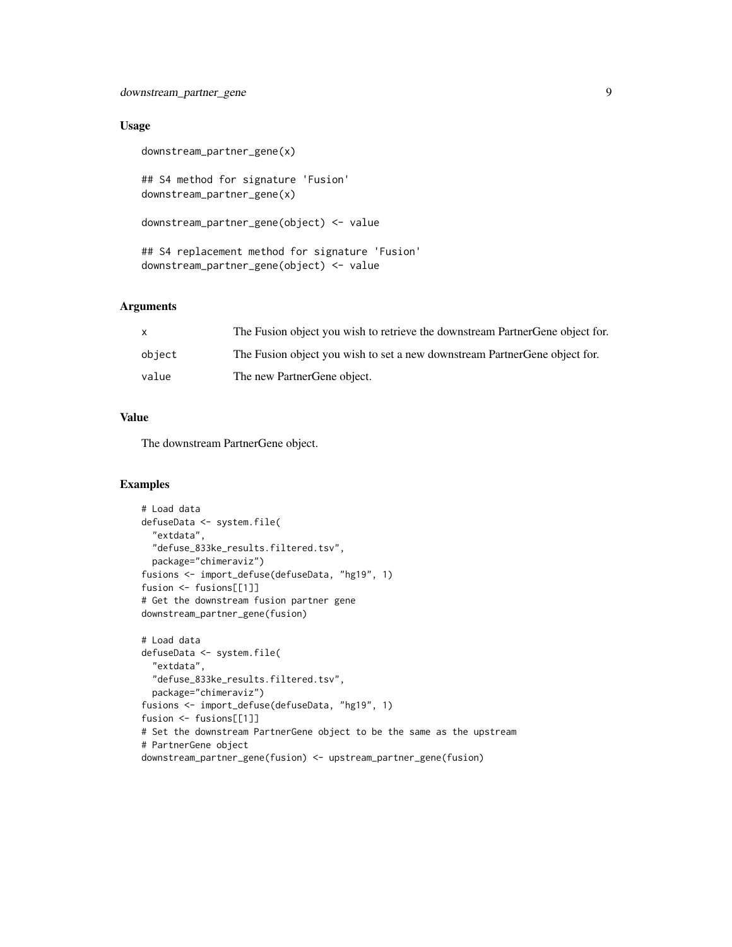### downstream\_partner\_gene 9

### Usage

```
downstream_partner_gene(x)
```
## S4 method for signature 'Fusion' downstream\_partner\_gene(x)

```
downstream_partner_gene(object) <- value
```
## S4 replacement method for signature 'Fusion' downstream\_partner\_gene(object) <- value

### Arguments

| X      | The Fusion object you wish to retrieve the downstream Partner Gene object for. |
|--------|--------------------------------------------------------------------------------|
| object | The Fusion object you wish to set a new downstream Partner Gene object for.    |
| value  | The new PartnerGene object.                                                    |

### Value

The downstream PartnerGene object.

```
# Load data
defuseData <- system.file(
  "extdata",
  "defuse_833ke_results.filtered.tsv",
  package="chimeraviz")
fusions <- import_defuse(defuseData, "hg19", 1)
fusion <- fusions[[1]]
# Get the downstream fusion partner gene
downstream_partner_gene(fusion)
# Load data
defuseData <- system.file(
  "extdata",
  "defuse_833ke_results.filtered.tsv",
 package="chimeraviz")
fusions <- import_defuse(defuseData, "hg19", 1)
fusion <- fusions[[1]]
# Set the downstream PartnerGene object to be the same as the upstream
# PartnerGene object
downstream_partner_gene(fusion) <- upstream_partner_gene(fusion)
```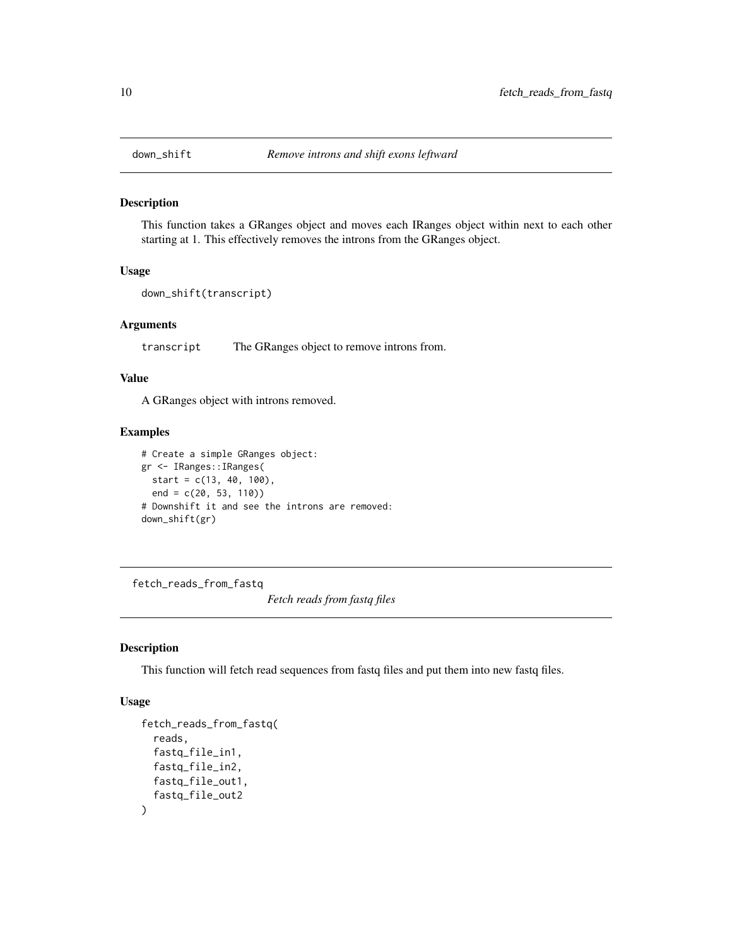<span id="page-9-0"></span>

#### Description

This function takes a GRanges object and moves each IRanges object within next to each other starting at 1. This effectively removes the introns from the GRanges object.

### Usage

```
down_shift(transcript)
```
#### Arguments

transcript The GRanges object to remove introns from.

### Value

A GRanges object with introns removed.

#### Examples

```
# Create a simple GRanges object:
gr <- IRanges::IRanges(
  start = c(13, 40, 100),
  end = c(20, 53, 110))
# Downshift it and see the introns are removed:
down_shift(gr)
```
fetch\_reads\_from\_fastq

*Fetch reads from fastq files*

#### Description

This function will fetch read sequences from fastq files and put them into new fastq files.

### Usage

```
fetch_reads_from_fastq(
  reads,
  fastq_file_in1,
  fastq_file_in2,
 fastq_file_out1,
  fastq_file_out2
)
```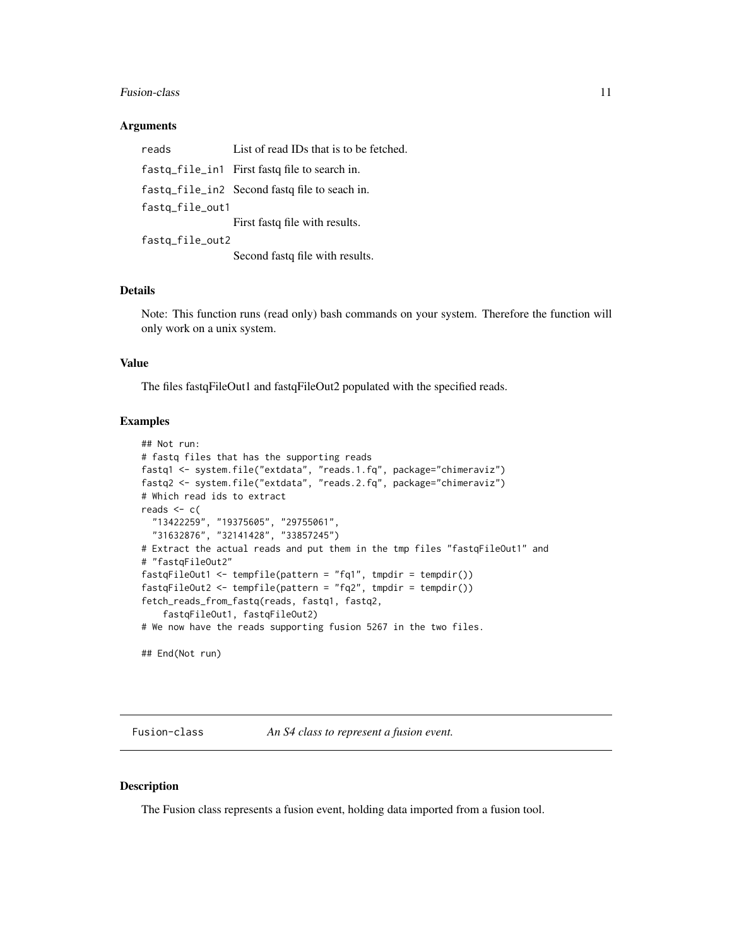#### <span id="page-10-0"></span>Fusion-class 11

#### **Arguments**

| reads           | List of read IDs that is to be fetched.       |
|-----------------|-----------------------------------------------|
|                 | fastq_file_in1 First fastq file to search in. |
|                 | fastg_file_in2 Second fastg file to seach in. |
| fastq_file_out1 |                                               |
|                 | First fast of file with results.              |
| fastg_file_out2 |                                               |
|                 | Second fast of file with results.             |

### Details

Note: This function runs (read only) bash commands on your system. Therefore the function will only work on a unix system.

### Value

The files fastqFileOut1 and fastqFileOut2 populated with the specified reads.

### Examples

```
## Not run:
# fastq files that has the supporting reads
fastq1 <- system.file("extdata", "reads.1.fq", package="chimeraviz")
fastq2 <- system.file("extdata", "reads.2.fq", package="chimeraviz")
# Which read ids to extract
reads <-c("13422259", "19375605", "29755061",
  "31632876", "32141428", "33857245")
# Extract the actual reads and put them in the tmp files "fastqFileOut1" and
# "fastqFileOut2"
fastqFileOut1 <- tempfile(pattern = "fq1", tmpdir = tempdir())
fastqFileOut2 <- tempfile(pattern = "fq2", tmpdir = tempdir())
fetch_reads_from_fastq(reads, fastq1, fastq2,
    fastqFileOut1, fastqFileOut2)
# We now have the reads supporting fusion 5267 in the two files.
## End(Not run)
```
Fusion-class *An S4 class to represent a fusion event.*

#### Description

The Fusion class represents a fusion event, holding data imported from a fusion tool.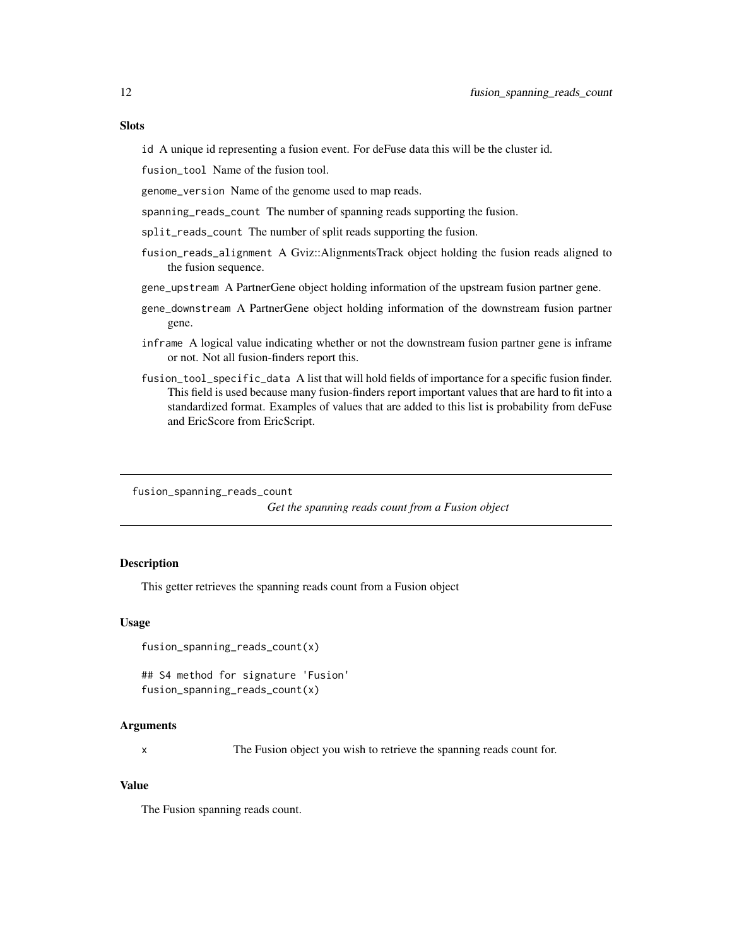### <span id="page-11-0"></span>**Slots**

id A unique id representing a fusion event. For deFuse data this will be the cluster id.

fusion\_tool Name of the fusion tool.

genome\_version Name of the genome used to map reads.

spanning\_reads\_count The number of spanning reads supporting the fusion.

split\_reads\_count The number of split reads supporting the fusion.

- fusion\_reads\_alignment A Gviz::AlignmentsTrack object holding the fusion reads aligned to the fusion sequence.
- gene\_upstream A PartnerGene object holding information of the upstream fusion partner gene.
- gene\_downstream A PartnerGene object holding information of the downstream fusion partner gene.
- inframe A logical value indicating whether or not the downstream fusion partner gene is inframe or not. Not all fusion-finders report this.
- fusion\_tool\_specific\_data A list that will hold fields of importance for a specific fusion finder. This field is used because many fusion-finders report important values that are hard to fit into a standardized format. Examples of values that are added to this list is probability from deFuse and EricScore from EricScript.

fusion\_spanning\_reads\_count

*Get the spanning reads count from a Fusion object*

### Description

This getter retrieves the spanning reads count from a Fusion object

#### Usage

fusion\_spanning\_reads\_count(x)

## S4 method for signature 'Fusion' fusion\_spanning\_reads\_count(x)

#### Arguments

x The Fusion object you wish to retrieve the spanning reads count for.

#### Value

The Fusion spanning reads count.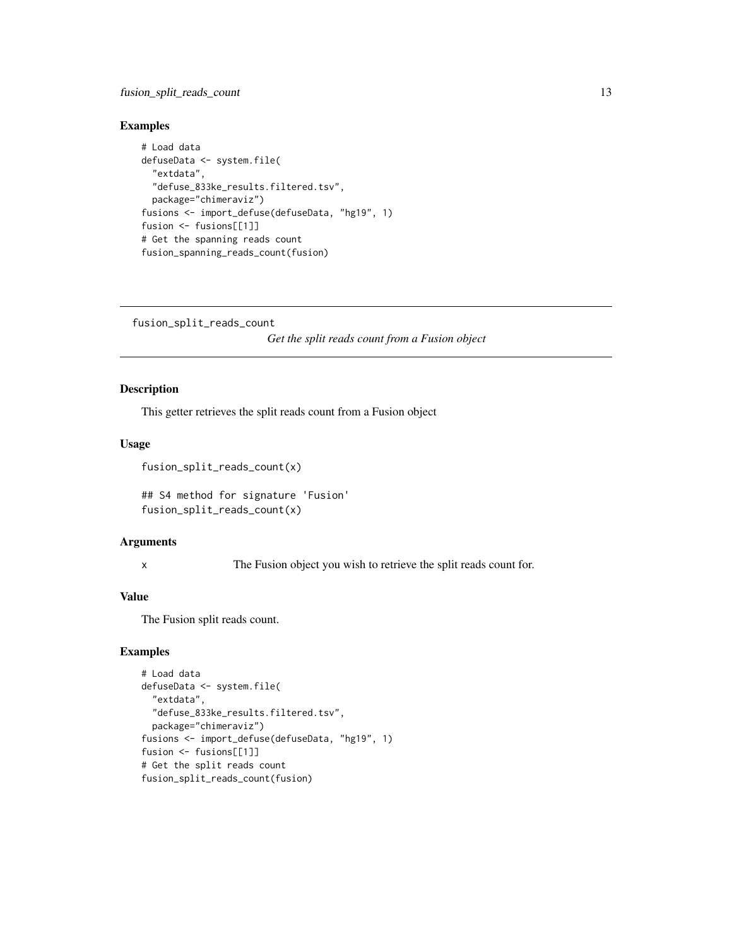### <span id="page-12-0"></span>fusion\_split\_reads\_count 13

### Examples

```
# Load data
defuseData <- system.file(
  "extdata",
  "defuse_833ke_results.filtered.tsv",
  package="chimeraviz")
fusions <- import_defuse(defuseData, "hg19", 1)
fusion <- fusions[[1]]
# Get the spanning reads count
fusion_spanning_reads_count(fusion)
```

```
fusion_split_reads_count
```
*Get the split reads count from a Fusion object*

### Description

This getter retrieves the split reads count from a Fusion object

### Usage

```
fusion_split_reads_count(x)
```
## S4 method for signature 'Fusion' fusion\_split\_reads\_count(x)

### Arguments

x The Fusion object you wish to retrieve the split reads count for.

### Value

The Fusion split reads count.

```
# Load data
defuseData <- system.file(
 "extdata",
 "defuse_833ke_results.filtered.tsv",
 package="chimeraviz")
fusions <- import_defuse(defuseData, "hg19", 1)
fusion <- fusions[[1]]
# Get the split reads count
fusion_split_reads_count(fusion)
```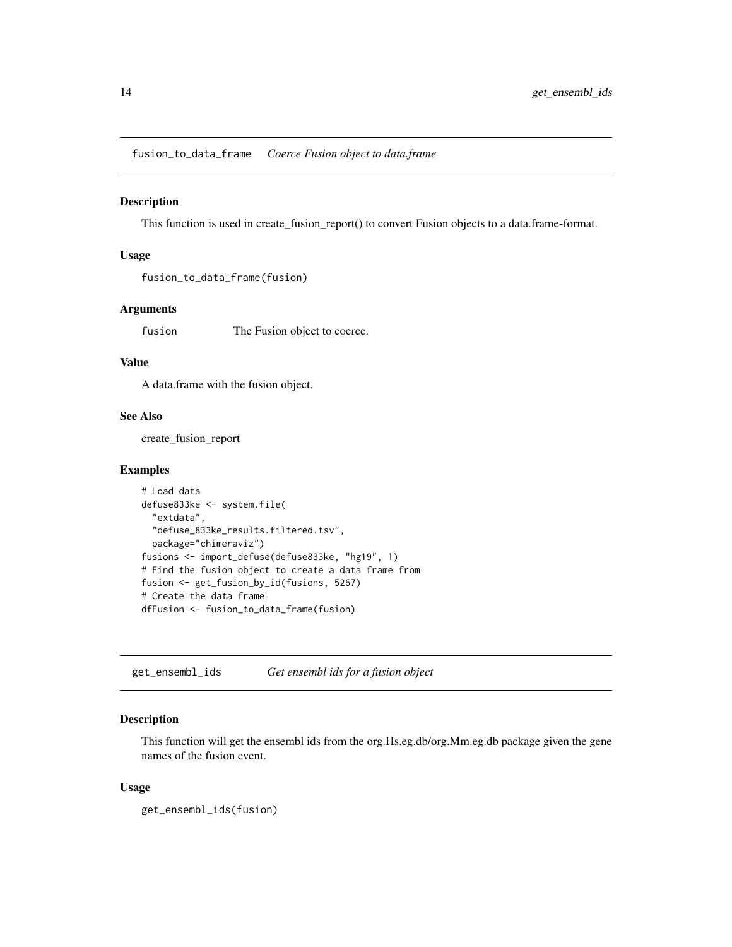<span id="page-13-0"></span>fusion\_to\_data\_frame *Coerce Fusion object to data.frame*

#### Description

This function is used in create\_fusion\_report() to convert Fusion objects to a data.frame-format.

#### Usage

```
fusion_to_data_frame(fusion)
```
### Arguments

fusion The Fusion object to coerce.

### Value

A data.frame with the fusion object.

### See Also

create\_fusion\_report

#### Examples

```
# Load data
defuse833ke <- system.file(
  "extdata",
  "defuse_833ke_results.filtered.tsv",
  package="chimeraviz")
fusions <- import_defuse(defuse833ke, "hg19", 1)
# Find the fusion object to create a data frame from
fusion <- get_fusion_by_id(fusions, 5267)
# Create the data frame
dfFusion <- fusion_to_data_frame(fusion)
```
get\_ensembl\_ids *Get ensembl ids for a fusion object*

### Description

This function will get the ensembl ids from the org.Hs.eg.db/org.Mm.eg.db package given the gene names of the fusion event.

#### Usage

get\_ensembl\_ids(fusion)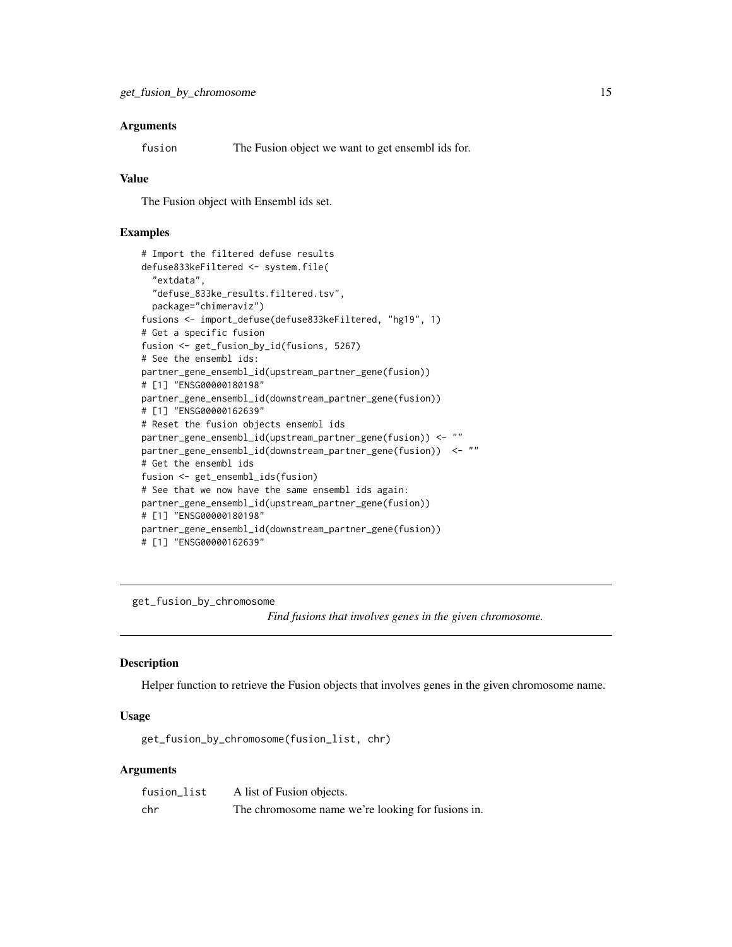### <span id="page-14-0"></span>**Arguments**

fusion The Fusion object we want to get ensembl ids for.

#### Value

The Fusion object with Ensembl ids set.

### Examples

```
# Import the filtered defuse results
defuse833keFiltered <- system.file(
  "extdata",
  "defuse_833ke_results.filtered.tsv",
  package="chimeraviz")
fusions <- import_defuse(defuse833keFiltered, "hg19", 1)
# Get a specific fusion
fusion <- get_fusion_by_id(fusions, 5267)
# See the ensembl ids:
partner_gene_ensembl_id(upstream_partner_gene(fusion))
# [1] "ENSG00000180198"
partner_gene_ensembl_id(downstream_partner_gene(fusion))
# [1] "ENSG00000162639"
# Reset the fusion objects ensembl ids
partner_gene_ensembl_id(upstream_partner_gene(fusion)) <- ""
partner_gene_ensembl_id(downstream_partner_gene(fusion)) <- ""
# Get the ensembl ids
fusion <- get_ensembl_ids(fusion)
# See that we now have the same ensembl ids again:
partner_gene_ensembl_id(upstream_partner_gene(fusion))
# [1] "ENSG00000180198"
partner_gene_ensembl_id(downstream_partner_gene(fusion))
# [1] "ENSG00000162639"
```
get\_fusion\_by\_chromosome

*Find fusions that involves genes in the given chromosome.*

### Description

Helper function to retrieve the Fusion objects that involves genes in the given chromosome name.

#### Usage

get\_fusion\_by\_chromosome(fusion\_list, chr)

### Arguments

| fusion_list | A list of Fusion objects.                         |
|-------------|---------------------------------------------------|
| chr         | The chromosome name we're looking for fusions in. |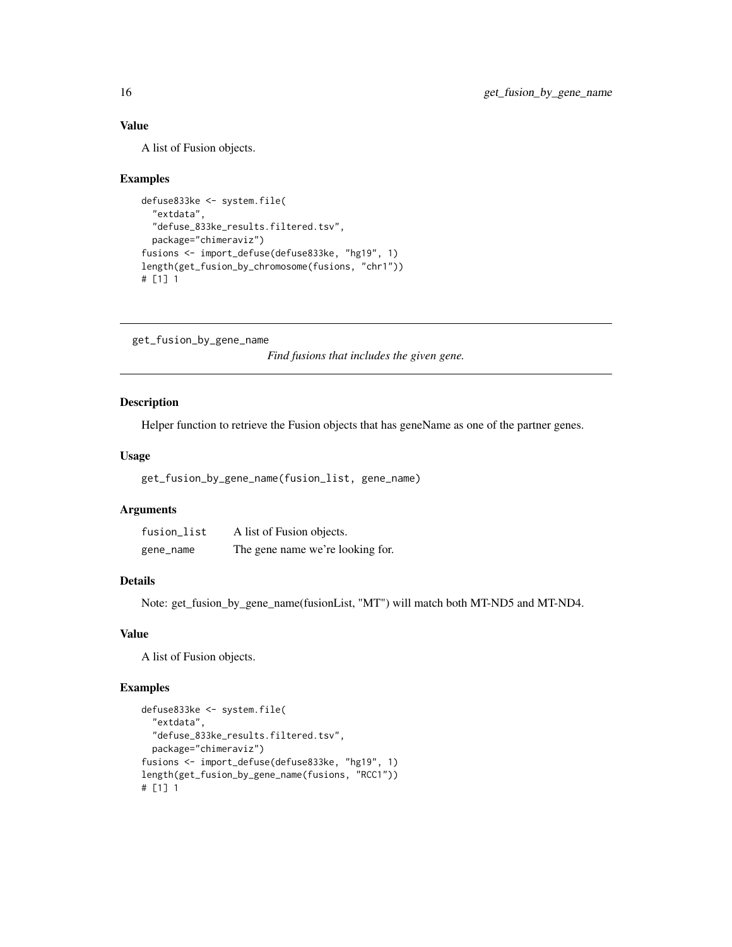### Value

A list of Fusion objects.

### Examples

```
defuse833ke <- system.file(
 "extdata",
 "defuse_833ke_results.filtered.tsv",
 package="chimeraviz")
fusions <- import_defuse(defuse833ke, "hg19", 1)
length(get_fusion_by_chromosome(fusions, "chr1"))
# [1] 1
```
get\_fusion\_by\_gene\_name

*Find fusions that includes the given gene.*

### Description

Helper function to retrieve the Fusion objects that has geneName as one of the partner genes.

#### Usage

```
get_fusion_by_gene_name(fusion_list, gene_name)
```
### Arguments

| fusion_list | A list of Fusion objects.        |
|-------------|----------------------------------|
| gene_name   | The gene name we're looking for. |

#### Details

Note: get\_fusion\_by\_gene\_name(fusionList, "MT") will match both MT-ND5 and MT-ND4.

#### Value

A list of Fusion objects.

```
defuse833ke <- system.file(
  "extdata",
  "defuse_833ke_results.filtered.tsv",
  package="chimeraviz")
fusions <- import_defuse(defuse833ke, "hg19", 1)
length(get_fusion_by_gene_name(fusions, "RCC1"))
# [1] 1
```
<span id="page-15-0"></span>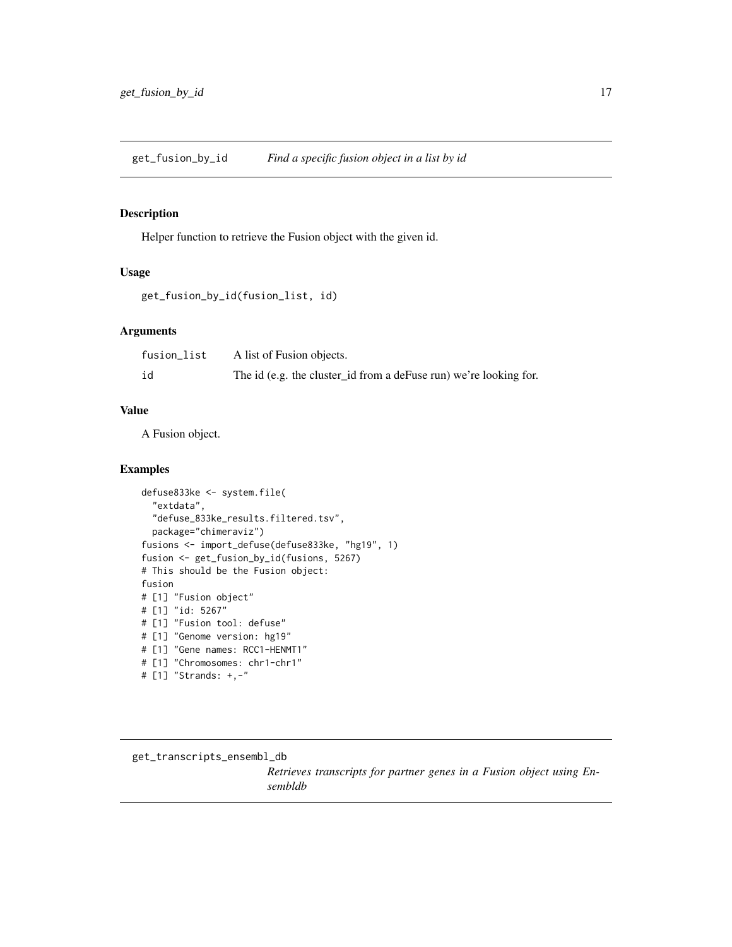<span id="page-16-0"></span>get\_fusion\_by\_id *Find a specific fusion object in a list by id*

### Description

Helper function to retrieve the Fusion object with the given id.

#### Usage

```
get_fusion_by_id(fusion_list, id)
```
#### Arguments

| fusion_list | A list of Fusion objects.                                         |
|-------------|-------------------------------------------------------------------|
| id          | The id (e.g. the cluster_id from a deFuse run) we're looking for. |

#### Value

A Fusion object.

#### Examples

```
defuse833ke <- system.file(
  "extdata",
  "defuse_833ke_results.filtered.tsv",
  package="chimeraviz")
fusions <- import_defuse(defuse833ke, "hg19", 1)
fusion <- get_fusion_by_id(fusions, 5267)
# This should be the Fusion object:
fusion
# [1] "Fusion object"
# [1] "id: 5267"
# [1] "Fusion tool: defuse"
# [1] "Genome version: hg19"
# [1] "Gene names: RCC1-HENMT1"
# [1] "Chromosomes: chr1-chr1"
# [1] "Strands: +,-"
```
get\_transcripts\_ensembl\_db

*Retrieves transcripts for partner genes in a Fusion object using Ensembldb*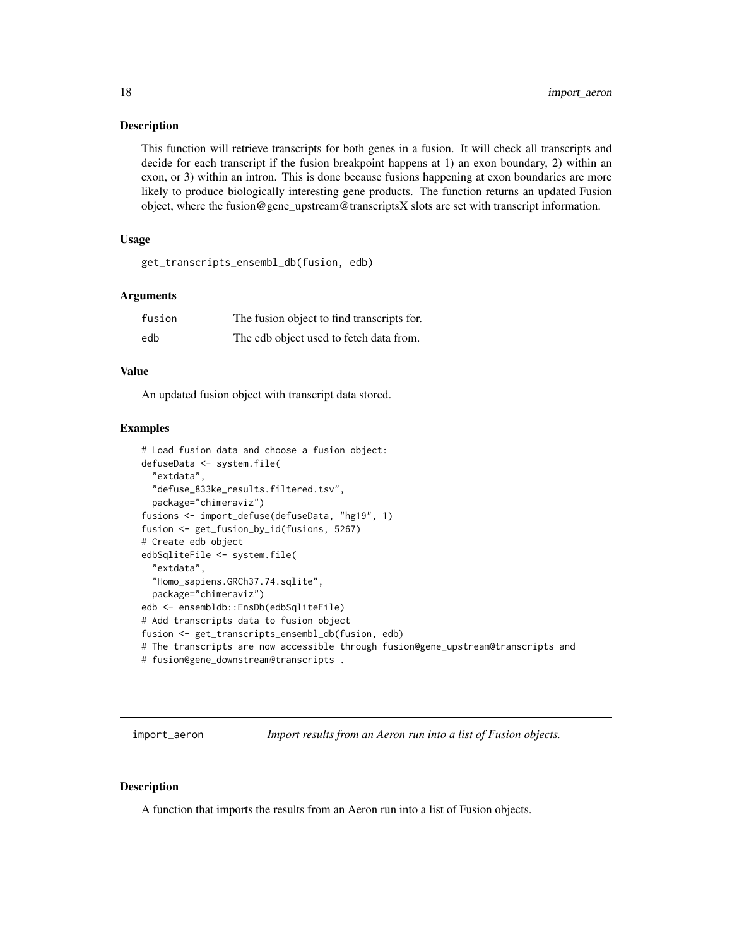#### <span id="page-17-0"></span>Description

This function will retrieve transcripts for both genes in a fusion. It will check all transcripts and decide for each transcript if the fusion breakpoint happens at 1) an exon boundary, 2) within an exon, or 3) within an intron. This is done because fusions happening at exon boundaries are more likely to produce biologically interesting gene products. The function returns an updated Fusion object, where the fusion@gene\_upstream@transcriptsX slots are set with transcript information.

### Usage

get\_transcripts\_ensembl\_db(fusion, edb)

#### Arguments

| fusion | The fusion object to find transcripts for. |
|--------|--------------------------------------------|
| edb    | The edb object used to fetch data from.    |

#### Value

An updated fusion object with transcript data stored.

#### Examples

```
# Load fusion data and choose a fusion object:
defuseData <- system.file(
  "extdata",
 "defuse_833ke_results.filtered.tsv",
 package="chimeraviz")
fusions <- import_defuse(defuseData, "hg19", 1)
fusion <- get_fusion_by_id(fusions, 5267)
# Create edb object
edbSqliteFile <- system.file(
  "extdata",
  "Homo_sapiens.GRCh37.74.sqlite",
 package="chimeraviz")
edb <- ensembldb::EnsDb(edbSqliteFile)
# Add transcripts data to fusion object
fusion <- get_transcripts_ensembl_db(fusion, edb)
# The transcripts are now accessible through fusion@gene_upstream@transcripts and
# fusion@gene_downstream@transcripts .
```
import\_aeron *Import results from an Aeron run into a list of Fusion objects.*

#### Description

A function that imports the results from an Aeron run into a list of Fusion objects.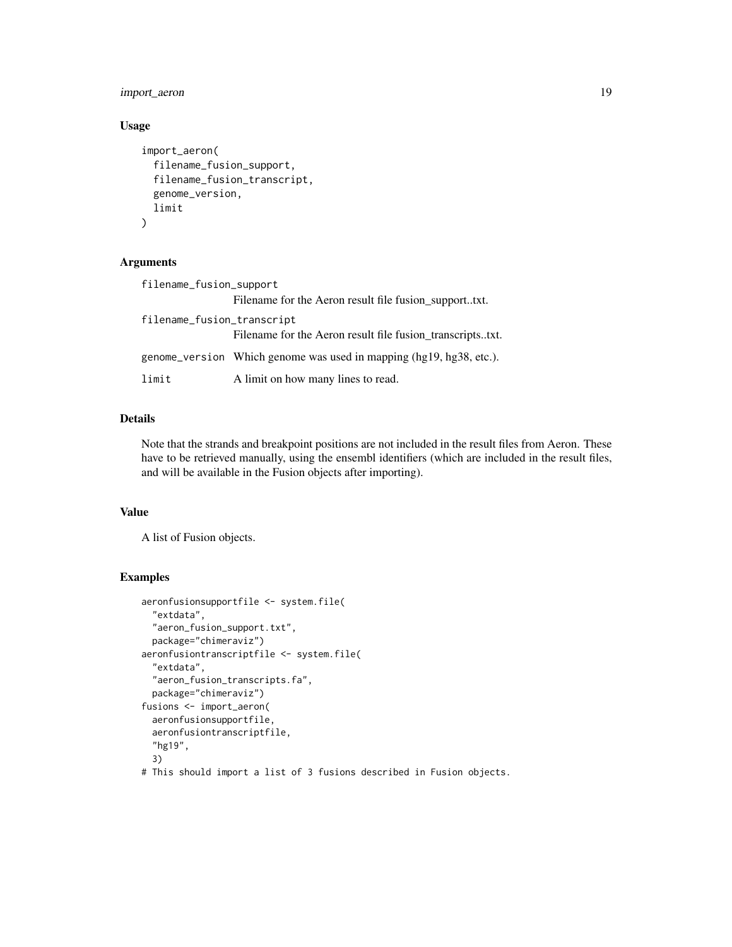import\_aeron 19

### Usage

```
import_aeron(
  filename_fusion_support,
  filename_fusion_transcript,
 genome_version,
 limit
)
```
### Arguments

| filename_fusion_support    |                                                                       |  |
|----------------------------|-----------------------------------------------------------------------|--|
|                            | Filename for the Aeron result file fusion_supporttxt.                 |  |
| filename_fusion_transcript |                                                                       |  |
|                            | Filename for the Aeron result file fusion_transcriptstxt.             |  |
|                            | genome_version Which genome was used in mapping $(hg19, hg38, etc.).$ |  |
| limit                      | A limit on how many lines to read.                                    |  |

### Details

Note that the strands and breakpoint positions are not included in the result files from Aeron. These have to be retrieved manually, using the ensembl identifiers (which are included in the result files, and will be available in the Fusion objects after importing).

### Value

A list of Fusion objects.

```
aeronfusionsupportfile <- system.file(
 "extdata",
 "aeron_fusion_support.txt",
 package="chimeraviz")
aeronfusiontranscriptfile <- system.file(
 "extdata",
 "aeron_fusion_transcripts.fa",
 package="chimeraviz")
fusions <- import_aeron(
 aeronfusionsupportfile,
 aeronfusiontranscriptfile,
  "hg19",
 3)
# This should import a list of 3 fusions described in Fusion objects.
```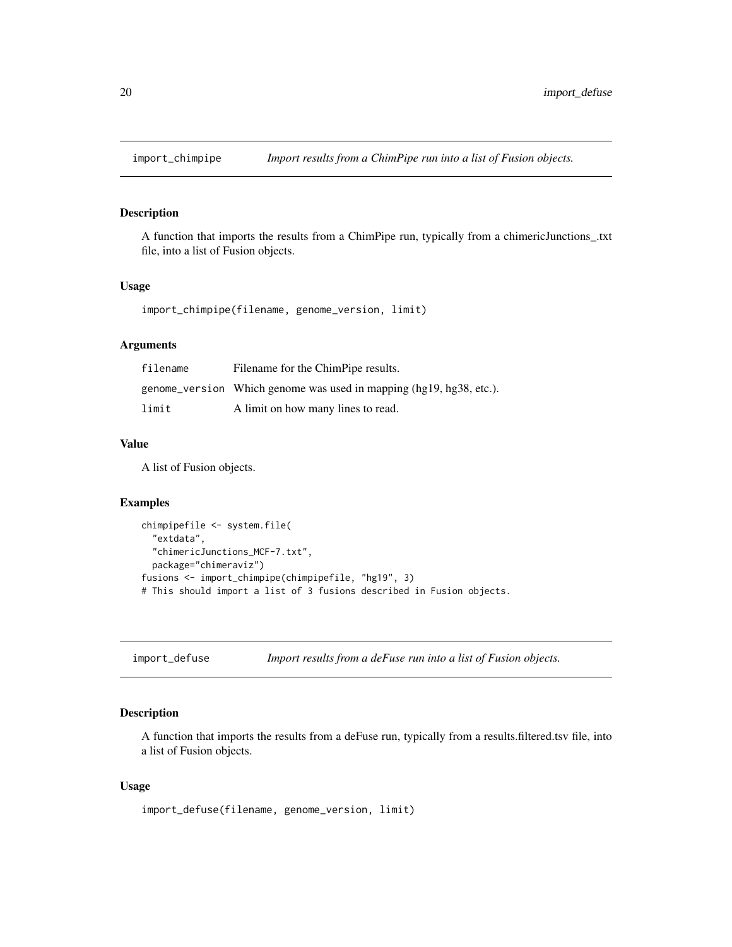<span id="page-19-0"></span>

### Description

A function that imports the results from a ChimPipe run, typically from a chimericJunctions\_.txt file, into a list of Fusion objects.

#### Usage

import\_chimpipe(filename, genome\_version, limit)

### Arguments

| filename | Filename for the ChimPipe results.                                  |
|----------|---------------------------------------------------------------------|
|          | genome_version Which genome was used in mapping (hg19, hg38, etc.). |
| limit    | A limit on how many lines to read.                                  |

### Value

A list of Fusion objects.

### Examples

```
chimpipefile <- system.file(
 "extdata",
 "chimericJunctions_MCF-7.txt",
 package="chimeraviz")
fusions <- import_chimpipe(chimpipefile, "hg19", 3)
# This should import a list of 3 fusions described in Fusion objects.
```
import\_defuse *Import results from a deFuse run into a list of Fusion objects.*

### Description

A function that imports the results from a deFuse run, typically from a results.filtered.tsv file, into a list of Fusion objects.

### Usage

import\_defuse(filename, genome\_version, limit)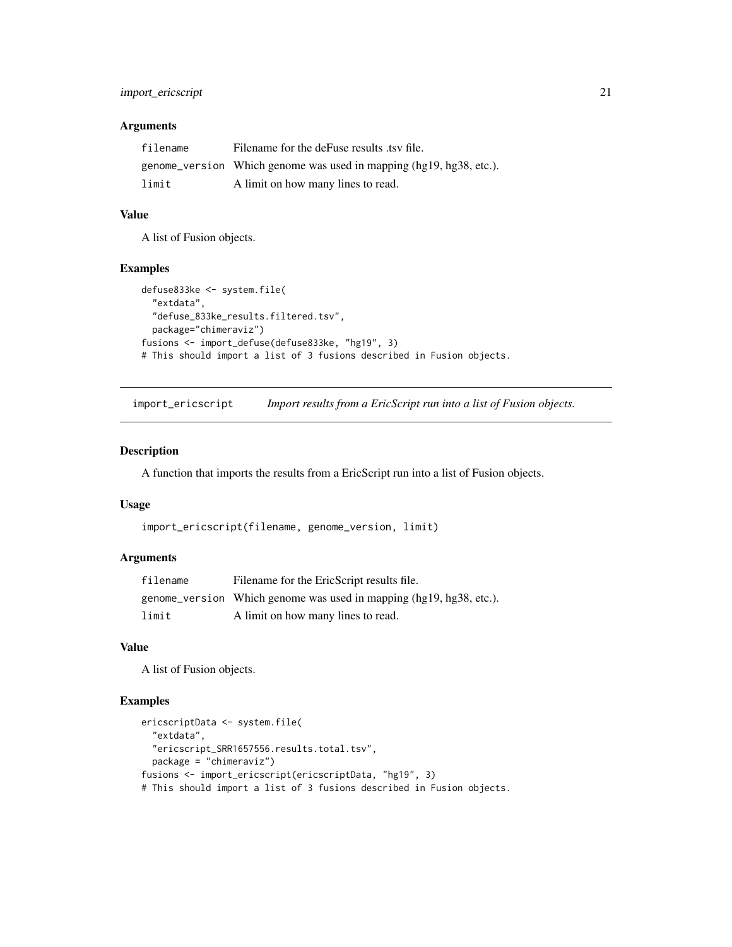### <span id="page-20-0"></span>import\_ericscript 21

### Arguments

| filename | Filename for the deFuse results tsv file.                           |
|----------|---------------------------------------------------------------------|
|          | genome_version Which genome was used in mapping (hg19, hg38, etc.). |
| limit    | A limit on how many lines to read.                                  |

#### Value

A list of Fusion objects.

### Examples

```
defuse833ke <- system.file(
  "extdata",
 "defuse_833ke_results.filtered.tsv",
 package="chimeraviz")
fusions <- import_defuse(defuse833ke, "hg19", 3)
# This should import a list of 3 fusions described in Fusion objects.
```
import\_ericscript *Import results from a EricScript run into a list of Fusion objects.*

#### Description

A function that imports the results from a EricScript run into a list of Fusion objects.

#### Usage

```
import_ericscript(filename, genome_version, limit)
```
### Arguments

| filename | Filename for the EricScript results file.                             |
|----------|-----------------------------------------------------------------------|
|          | genome_version Which genome was used in mapping $(hg19, hg38, etc.).$ |
| limit    | A limit on how many lines to read.                                    |

#### Value

A list of Fusion objects.

```
ericscriptData <- system.file(
 "extdata",
 "ericscript_SRR1657556.results.total.tsv",
 package = "chimeraviz")
fusions <- import_ericscript(ericscriptData, "hg19", 3)
# This should import a list of 3 fusions described in Fusion objects.
```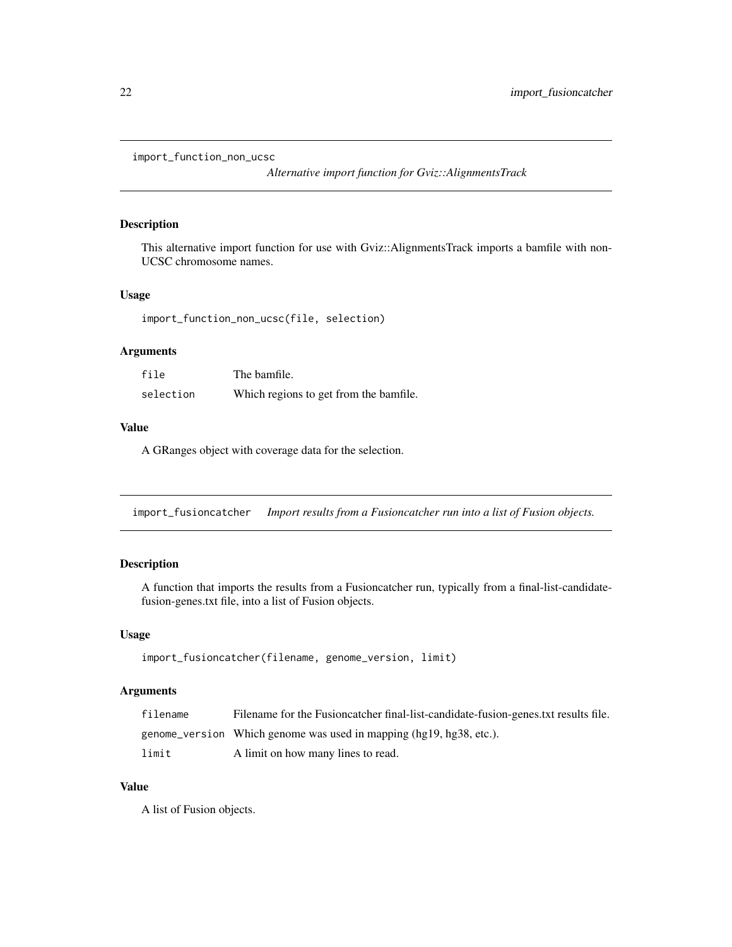```
import_function_non_ucsc
```
*Alternative import function for Gviz::AlignmentsTrack*

### Description

This alternative import function for use with Gviz::AlignmentsTrack imports a bamfile with non-UCSC chromosome names.

### Usage

```
import_function_non_ucsc(file, selection)
```
### Arguments

| file      | The bamfile.                           |
|-----------|----------------------------------------|
| selection | Which regions to get from the bamfile. |

### Value

A GRanges object with coverage data for the selection.

import\_fusioncatcher *Import results from a Fusioncatcher run into a list of Fusion objects.*

### Description

A function that imports the results from a Fusioncatcher run, typically from a final-list-candidatefusion-genes.txt file, into a list of Fusion objects.

### Usage

```
import_fusioncatcher(filename, genome_version, limit)
```
### Arguments

| filename | Filename for the Fusion eater final-list-candidate-fusion-genes.txt results file. |
|----------|-----------------------------------------------------------------------------------|
|          | genome_version Which genome was used in mapping (hg19, hg38, etc.).               |
| limit    | A limit on how many lines to read.                                                |

### Value

A list of Fusion objects.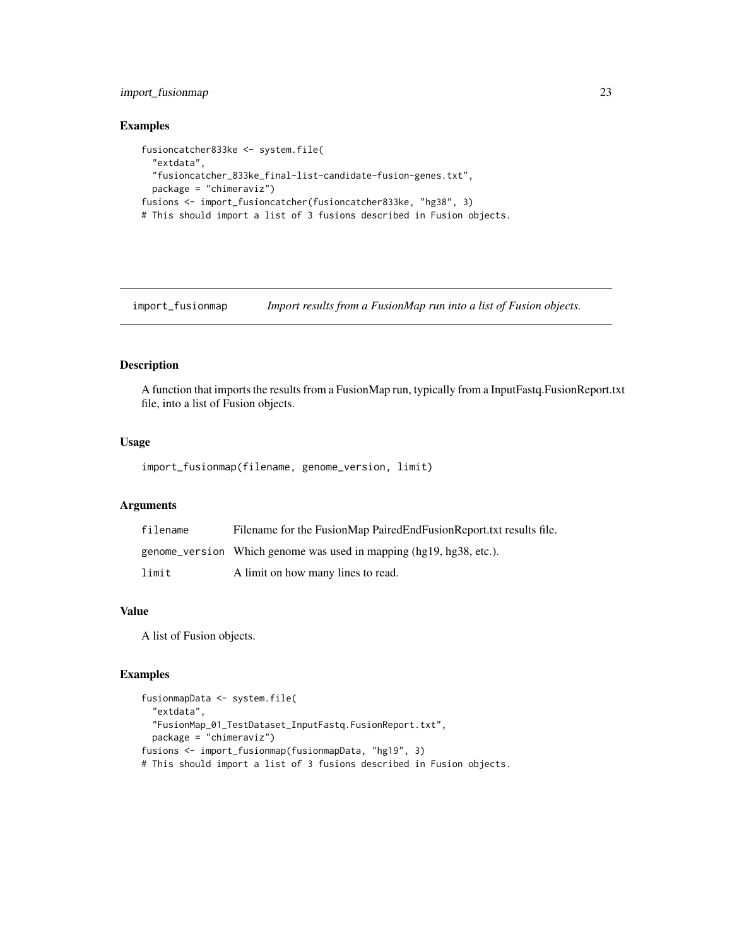### <span id="page-22-0"></span>import\_fusionmap 23

### Examples

```
fusioncatcher833ke <- system.file(
 "extdata",
 "fusioncatcher_833ke_final-list-candidate-fusion-genes.txt",
 package = "chimeraviz")
fusions <- import_fusioncatcher(fusioncatcher833ke, "hg38", 3)
# This should import a list of 3 fusions described in Fusion objects.
```
import\_fusionmap *Import results from a FusionMap run into a list of Fusion objects.*

### Description

A function that imports the results from a FusionMap run, typically from a InputFastq.FusionReport.txt file, into a list of Fusion objects.

#### Usage

import\_fusionmap(filename, genome\_version, limit)

### Arguments

| filename | Filename for the FusionMap PairedEndFusionReport.txt results file.  |
|----------|---------------------------------------------------------------------|
|          | genome_version Which genome was used in mapping (hg19, hg38, etc.). |
| limit    | A limit on how many lines to read.                                  |

### Value

A list of Fusion objects.

```
fusionmapData <- system.file(
  "extdata",
 "FusionMap_01_TestDataset_InputFastq.FusionReport.txt",
 package = "chimeraviz")
fusions <- import_fusionmap(fusionmapData, "hg19", 3)
# This should import a list of 3 fusions described in Fusion objects.
```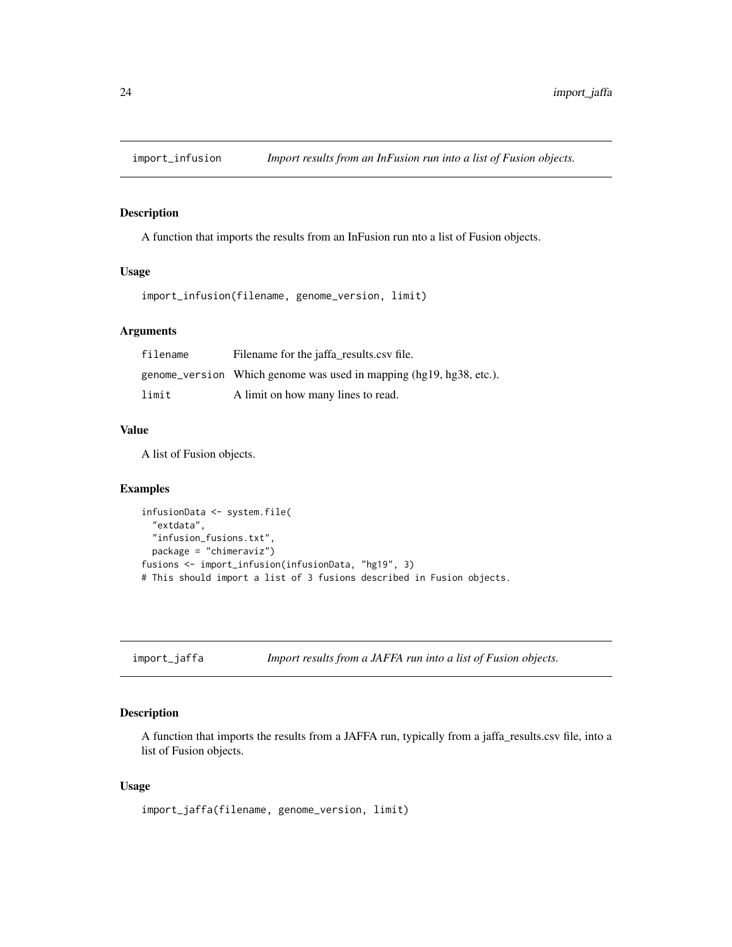<span id="page-23-0"></span>

### Description

A function that imports the results from an InFusion run nto a list of Fusion objects.

#### Usage

import\_infusion(filename, genome\_version, limit)

#### Arguments

| filename | Filename for the jaffa_results.csv file.                              |
|----------|-----------------------------------------------------------------------|
|          | genome_version Which genome was used in mapping $(hg19, hg38, etc.).$ |
| limit    | A limit on how many lines to read.                                    |

### Value

A list of Fusion objects.

#### Examples

```
infusionData <- system.file(
  "extdata",
 "infusion_fusions.txt",
 package = "chimeraviz")
fusions <- import_infusion(infusionData, "hg19", 3)
# This should import a list of 3 fusions described in Fusion objects.
```
import\_jaffa *Import results from a JAFFA run into a list of Fusion objects.*

### Description

A function that imports the results from a JAFFA run, typically from a jaffa\_results.csv file, into a list of Fusion objects.

### Usage

import\_jaffa(filename, genome\_version, limit)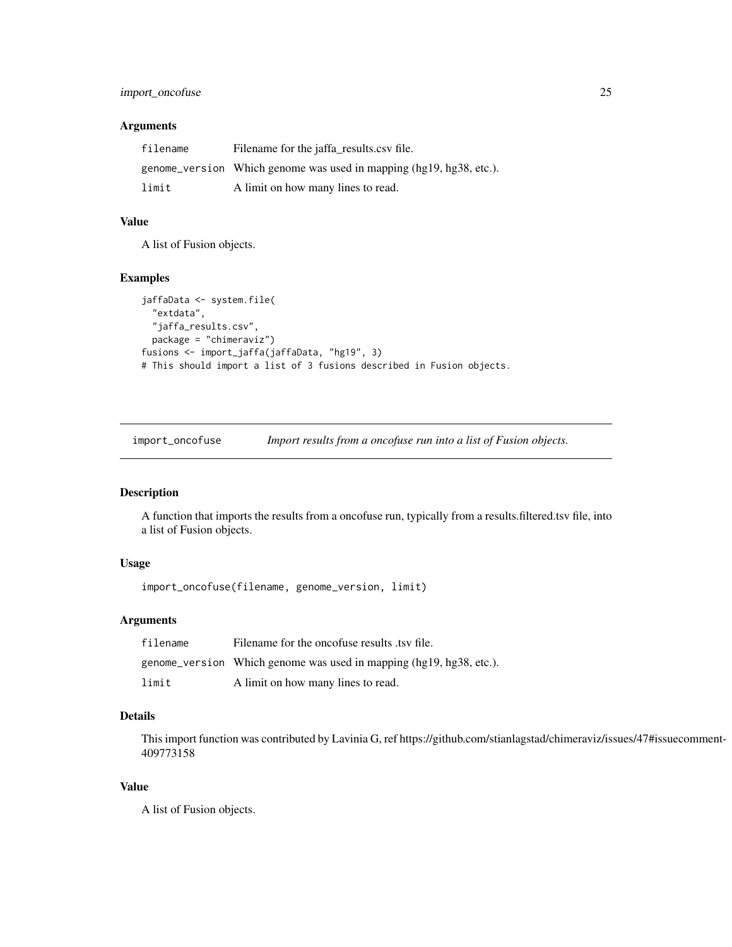### <span id="page-24-0"></span>import\_oncofuse 25

### Arguments

| filename | Filename for the jaffa_results.csv file.                            |
|----------|---------------------------------------------------------------------|
|          | genome_version Which genome was used in mapping (hg19, hg38, etc.). |
| limit    | A limit on how many lines to read.                                  |

### Value

A list of Fusion objects.

### Examples

```
jaffaData <- system.file(
 "extdata",
 "jaffa_results.csv",
 package = "chimeraviz")
fusions <- import_jaffa(jaffaData, "hg19", 3)
# This should import a list of 3 fusions described in Fusion objects.
```
import\_oncofuse *Import results from a oncofuse run into a list of Fusion objects.*

### Description

A function that imports the results from a oncofuse run, typically from a results.filtered.tsv file, into a list of Fusion objects.

### Usage

import\_oncofuse(filename, genome\_version, limit)

### Arguments

| filename | Filename for the oncofuse results tsy file.                         |
|----------|---------------------------------------------------------------------|
|          | genome_version Which genome was used in mapping (hg19, hg38, etc.). |
| limit    | A limit on how many lines to read.                                  |

### Details

This import function was contributed by Lavinia G, ref https://github.com/stianlagstad/chimeraviz/issues/47#issuecomment-409773158

### Value

A list of Fusion objects.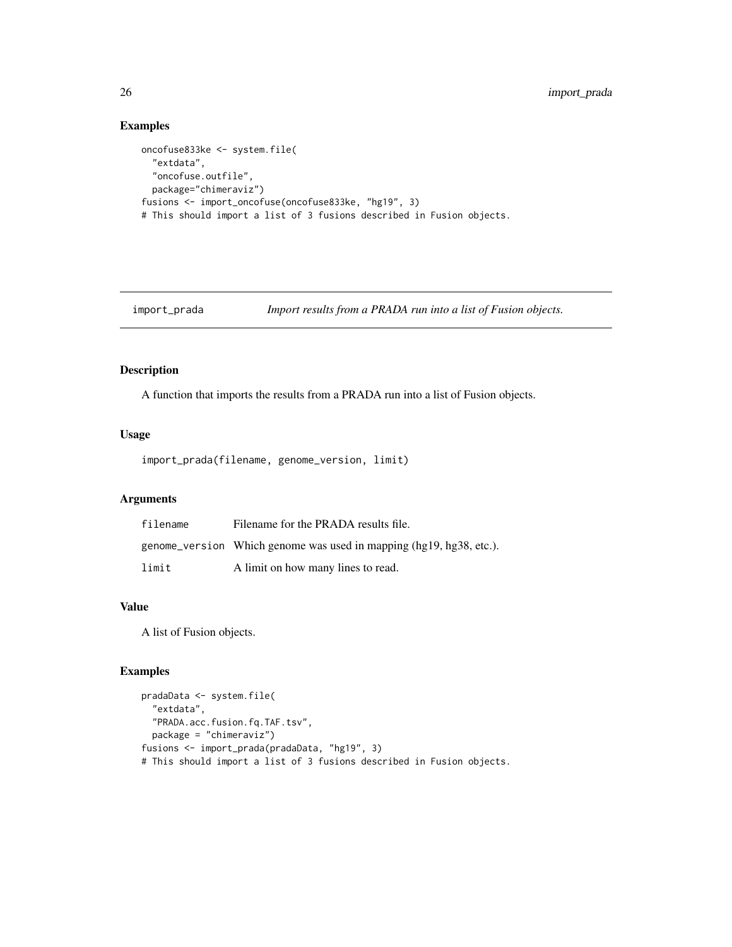### Examples

```
oncofuse833ke <- system.file(
  "extdata",
  "oncofuse.outfile",
  package="chimeraviz")
fusions <- import_oncofuse(oncofuse833ke, "hg19", 3)
# This should import a list of 3 fusions described in Fusion objects.
```

```
import_prada Import results from a PRADA run into a list of Fusion objects.
```
### Description

A function that imports the results from a PRADA run into a list of Fusion objects.

### Usage

import\_prada(filename, genome\_version, limit)

### Arguments

| filename | Filename for the PRADA results file.                                |
|----------|---------------------------------------------------------------------|
|          | genome_version Which genome was used in mapping (hg19, hg38, etc.). |
| limit    | A limit on how many lines to read.                                  |

### Value

A list of Fusion objects.

```
pradaData <- system.file(
 "extdata",
 "PRADA.acc.fusion.fq.TAF.tsv",
 package = "chimeraviz")
fusions <- import_prada(pradaData, "hg19", 3)
# This should import a list of 3 fusions described in Fusion objects.
```
<span id="page-25-0"></span>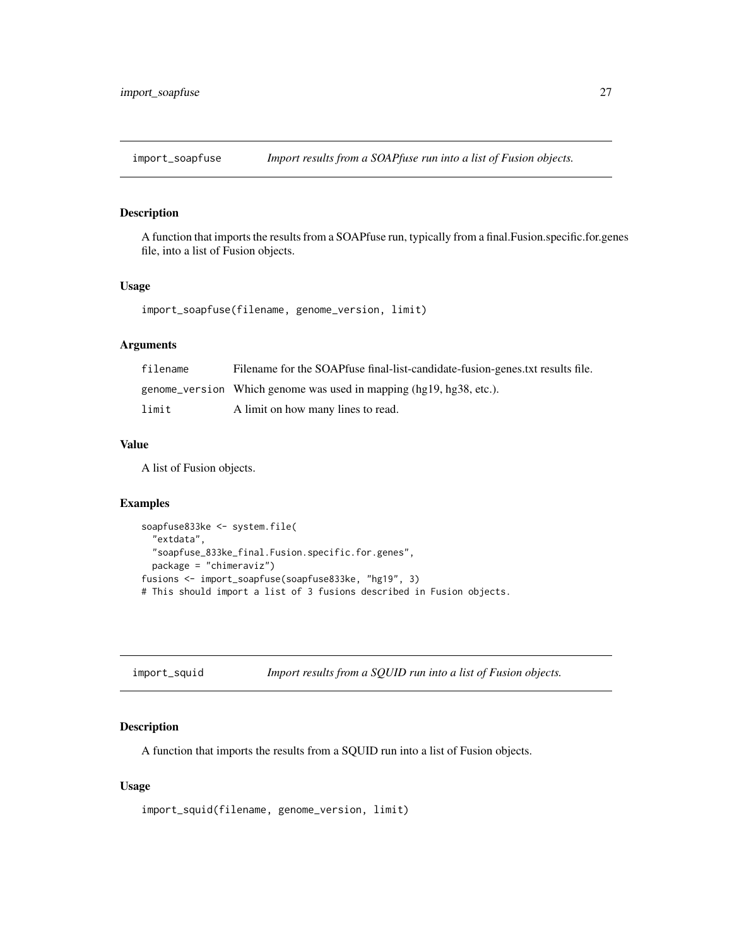<span id="page-26-0"></span>

### Description

A function that imports the results from a SOAPfuse run, typically from a final.Fusion.specific.for.genes file, into a list of Fusion objects.

#### Usage

import\_soapfuse(filename, genome\_version, limit)

### Arguments

| filename | Filename for the SOAPfuse final-list-candidate-fusion-genes.txt results file. |
|----------|-------------------------------------------------------------------------------|
|          | genome_version Which genome was used in mapping (hg19, hg38, etc.).           |
| limit    | A limit on how many lines to read.                                            |

#### Value

A list of Fusion objects.

#### Examples

```
soapfuse833ke <- system.file(
 "extdata",
 "soapfuse_833ke_final.Fusion.specific.for.genes",
 package = "chimeraviz")
fusions <- import_soapfuse(soapfuse833ke, "hg19", 3)
# This should import a list of 3 fusions described in Fusion objects.
```

| import_squid | Import results from a SQUID run into a list of Fusion objects. |  |
|--------------|----------------------------------------------------------------|--|
|              |                                                                |  |

### Description

A function that imports the results from a SQUID run into a list of Fusion objects.

### Usage

import\_squid(filename, genome\_version, limit)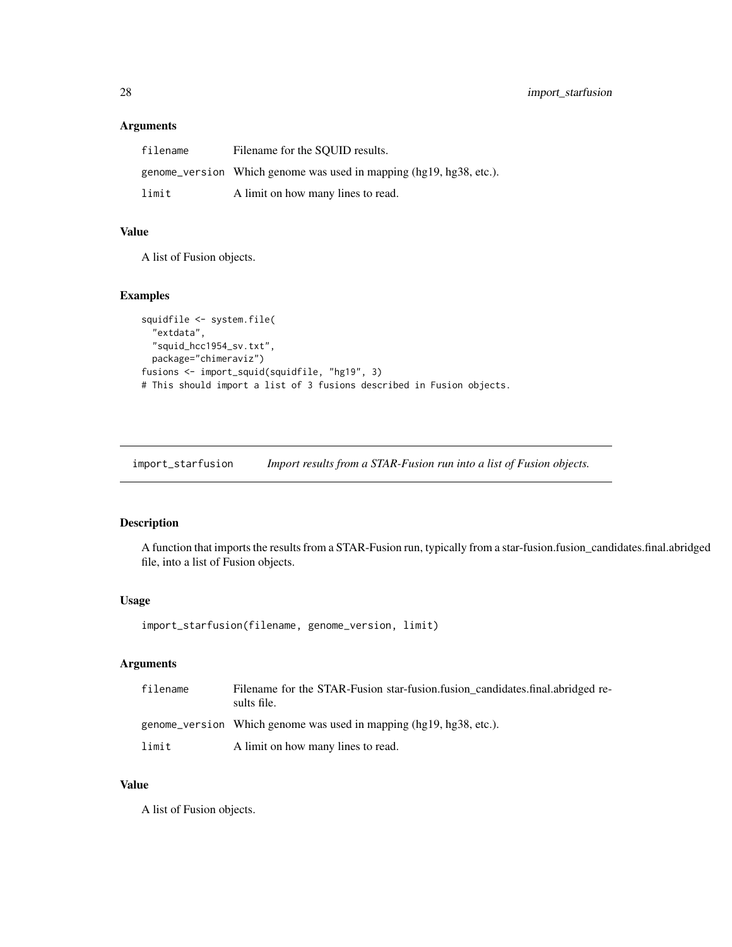### <span id="page-27-0"></span>Arguments

| filename | Filename for the SOUID results.                                     |
|----------|---------------------------------------------------------------------|
|          | genome_version Which genome was used in mapping (hg19, hg38, etc.). |
| limit    | A limit on how many lines to read.                                  |

### Value

A list of Fusion objects.

### Examples

```
squidfile <- system.file(
 "extdata",
 "squid_hcc1954_sv.txt",
 package="chimeraviz")
fusions <- import_squid(squidfile, "hg19", 3)
# This should import a list of 3 fusions described in Fusion objects.
```
import\_starfusion *Import results from a STAR-Fusion run into a list of Fusion objects.*

### Description

A function that imports the results from a STAR-Fusion run, typically from a star-fusion.fusion\_candidates.final.abridged file, into a list of Fusion objects.

### Usage

```
import_starfusion(filename, genome_version, limit)
```
### Arguments

| filename | Filename for the STAR-Fusion star-fusion.fusion candidates.final.abridged re-<br>sults file. |
|----------|----------------------------------------------------------------------------------------------|
|          | genome version Which genome was used in mapping (hg19, hg38, etc.).                          |
| limit    | A limit on how many lines to read.                                                           |

#### Value

A list of Fusion objects.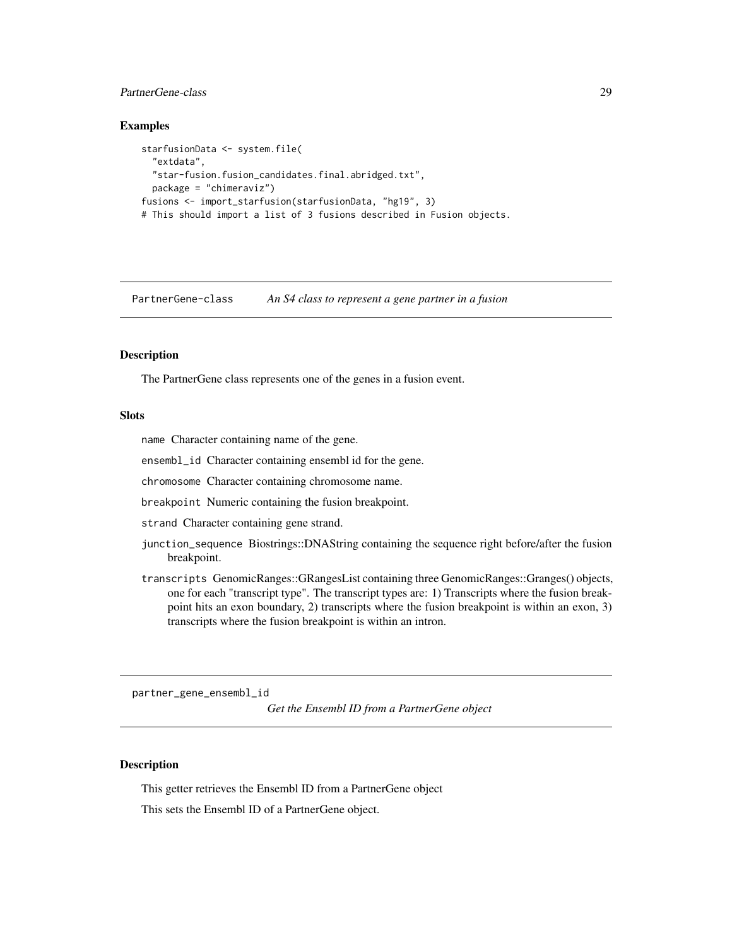### <span id="page-28-0"></span>PartnerGene-class 29

### Examples

```
starfusionData <- system.file(
  "extdata",
 "star-fusion.fusion_candidates.final.abridged.txt",
 package = "chimeraviz")
fusions <- import_starfusion(starfusionData, "hg19", 3)
# This should import a list of 3 fusions described in Fusion objects.
```
PartnerGene-class *An S4 class to represent a gene partner in a fusion*

### Description

The PartnerGene class represents one of the genes in a fusion event.

### **Slots**

name Character containing name of the gene.

ensembl\_id Character containing ensembl id for the gene.

chromosome Character containing chromosome name.

breakpoint Numeric containing the fusion breakpoint.

strand Character containing gene strand.

- junction\_sequence Biostrings::DNAString containing the sequence right before/after the fusion breakpoint.
- transcripts GenomicRanges::GRangesList containing three GenomicRanges::Granges() objects, one for each "transcript type". The transcript types are: 1) Transcripts where the fusion breakpoint hits an exon boundary, 2) transcripts where the fusion breakpoint is within an exon, 3) transcripts where the fusion breakpoint is within an intron.

partner\_gene\_ensembl\_id

*Get the Ensembl ID from a PartnerGene object*

### **Description**

This getter retrieves the Ensembl ID from a PartnerGene object

This sets the Ensembl ID of a PartnerGene object.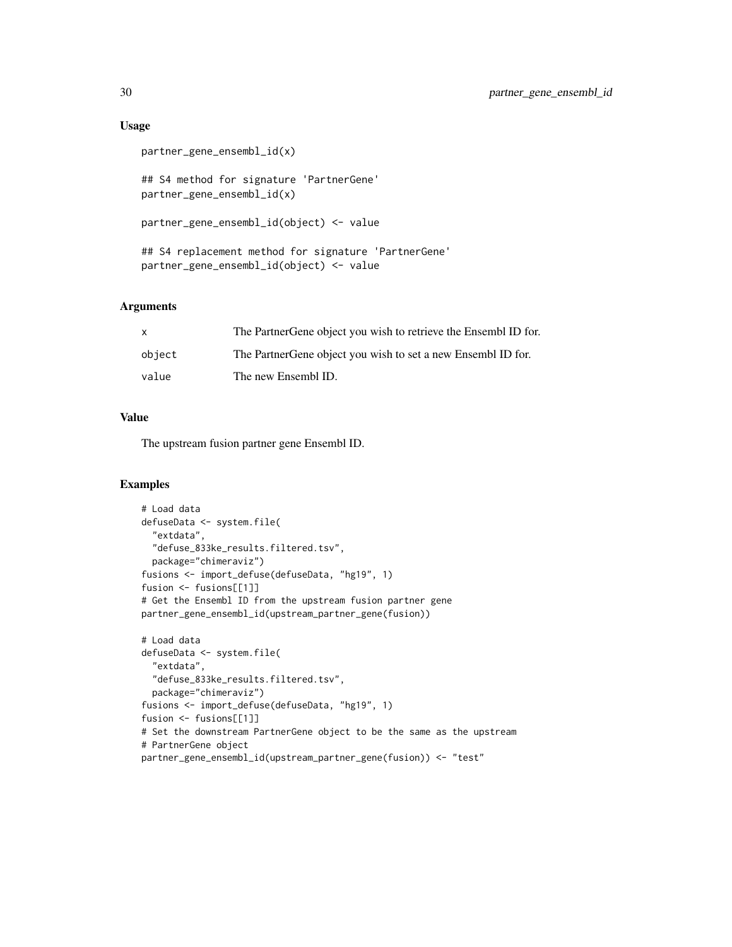### Usage

```
partner_gene_ensembl_id(x)
## S4 method for signature 'PartnerGene'
partner_gene_ensembl_id(x)
partner_gene_ensembl_id(object) <- value
## S4 replacement method for signature 'PartnerGene'
partner_gene_ensembl_id(object) <- value
```
### Arguments

| X      | The Partner Gene object you wish to retrieve the Ensembl ID for. |
|--------|------------------------------------------------------------------|
| object | The Partner Gene object you wish to set a new Ensembl ID for.    |
| value  | The new Ensembl ID.                                              |

### Value

The upstream fusion partner gene Ensembl ID.

```
# Load data
defuseData <- system.file(
  "extdata",
  "defuse_833ke_results.filtered.tsv",
  package="chimeraviz")
fusions <- import_defuse(defuseData, "hg19", 1)
fusion <- fusions[[1]]
# Get the Ensembl ID from the upstream fusion partner gene
partner_gene_ensembl_id(upstream_partner_gene(fusion))
# Load data
defuseData <- system.file(
  "extdata",
  "defuse_833ke_results.filtered.tsv",
 package="chimeraviz")
fusions <- import_defuse(defuseData, "hg19", 1)
fusion <- fusions[[1]]
# Set the downstream PartnerGene object to be the same as the upstream
# PartnerGene object
partner_gene_ensembl_id(upstream_partner_gene(fusion)) <- "test"
```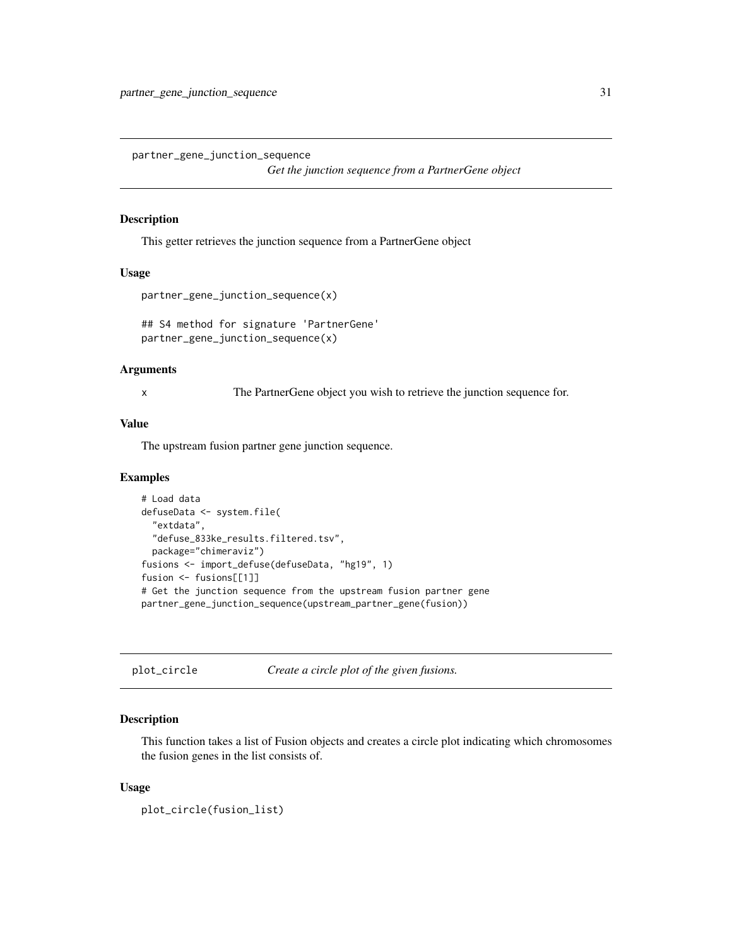<span id="page-30-0"></span>partner\_gene\_junction\_sequence

*Get the junction sequence from a PartnerGene object*

#### Description

This getter retrieves the junction sequence from a PartnerGene object

#### Usage

```
partner_gene_junction_sequence(x)
```
## S4 method for signature 'PartnerGene' partner\_gene\_junction\_sequence(x)

#### Arguments

x The PartnerGene object you wish to retrieve the junction sequence for.

### Value

The upstream fusion partner gene junction sequence.

#### Examples

```
# Load data
defuseData <- system.file(
  "extdata",
 "defuse_833ke_results.filtered.tsv",
 package="chimeraviz")
fusions <- import_defuse(defuseData, "hg19", 1)
fusion <- fusions[[1]]
# Get the junction sequence from the upstream fusion partner gene
partner_gene_junction_sequence(upstream_partner_gene(fusion))
```
plot\_circle *Create a circle plot of the given fusions.*

#### Description

This function takes a list of Fusion objects and creates a circle plot indicating which chromosomes the fusion genes in the list consists of.

#### Usage

```
plot_circle(fusion_list)
```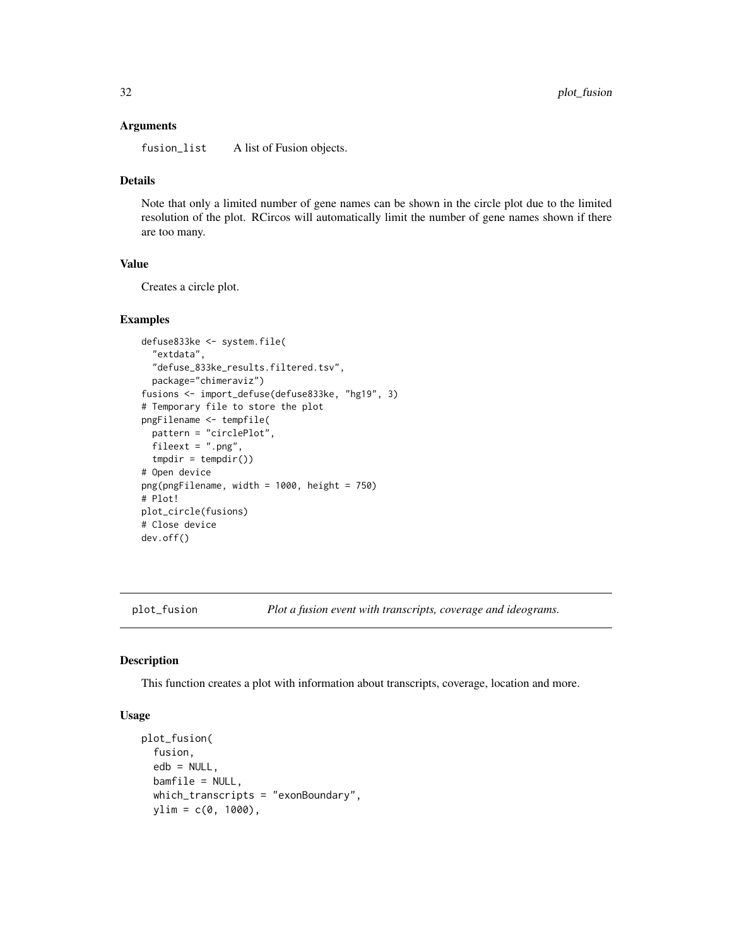#### <span id="page-31-0"></span>Arguments

fusion\_list A list of Fusion objects.

### Details

Note that only a limited number of gene names can be shown in the circle plot due to the limited resolution of the plot. RCircos will automatically limit the number of gene names shown if there are too many.

### Value

Creates a circle plot.

#### Examples

```
defuse833ke <- system.file(
  "extdata",
  "defuse_833ke_results.filtered.tsv",
  package="chimeraviz")
fusions <- import_defuse(defuse833ke, "hg19", 3)
# Temporary file to store the plot
pngFilename <- tempfile(
  pattern = "circlePlot",
  fileext = ".png",
  tmpdir = tempdir())
# Open device
png(pngFilename, width = 1000, height = 750)
# Plot!
plot_circle(fusions)
# Close device
dev.off()
```
plot\_fusion *Plot a fusion event with transcripts, coverage and ideograms.*

### Description

This function creates a plot with information about transcripts, coverage, location and more.

### Usage

```
plot_fusion(
  fusion,
  edb = NULL,bamfile = NULL,
 which_transcripts = "exonBoundary",
 ylim = c(0, 1000),
```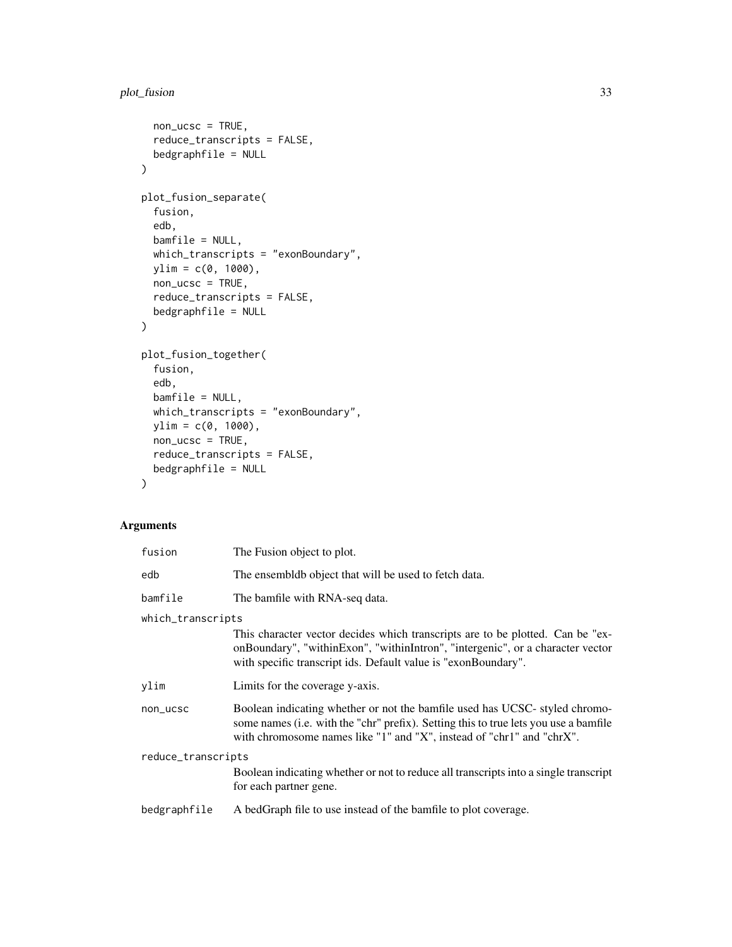### plot\_fusion 33

```
non_u csc = TRUE,reduce_transcripts = FALSE,
 bedgraphfile = NULL
\mathcal{L}plot_fusion_separate(
  fusion,
  edb,
 bamfile = NULL,
 which_transcripts = "exonBoundary",
 ylim = c(0, 1000),
 non_u csc = TRUE,reduce_transcripts = FALSE,
 bedgraphfile = NULL
)
plot_fusion_together(
  fusion,
  edb,
 bamfile = NULL,
 which_transcripts = "exonBoundary",
 ylim = c(0, 1000),
 non\_ucsc = TRUE,reduce_transcripts = FALSE,
 bedgraphfile = NULL
\mathcal{L}
```
## Arguments

| fusion             | The Fusion object to plot.                                                                                                                                                                                                                  |  |
|--------------------|---------------------------------------------------------------------------------------------------------------------------------------------------------------------------------------------------------------------------------------------|--|
| edb                | The ensemble object that will be used to fetch data.                                                                                                                                                                                        |  |
| bamfile            | The bamfile with RNA-seq data.                                                                                                                                                                                                              |  |
| which_transcripts  |                                                                                                                                                                                                                                             |  |
|                    | This character vector decides which transcripts are to be plotted. Can be "ex-<br>onBoundary", "withinExon", "withinIntron", "intergenic", or a character vector<br>with specific transcript ids. Default value is "exonBoundary".          |  |
| ylim               | Limits for the coverage y-axis.                                                                                                                                                                                                             |  |
| non_ucsc           | Boolean indicating whether or not the bamfile used has UCSC-styled chromo-<br>some names (i.e. with the "chr" prefix). Setting this to true lets you use a bamfile<br>with chromosome names like "1" and "X", instead of "chr1" and "chrX". |  |
| reduce_transcripts |                                                                                                                                                                                                                                             |  |
|                    | Boolean indicating whether or not to reduce all transcripts into a single transcript<br>for each partner gene.                                                                                                                              |  |
| bedgraphfile       | A bedGraph file to use instead of the bamfile to plot coverage.                                                                                                                                                                             |  |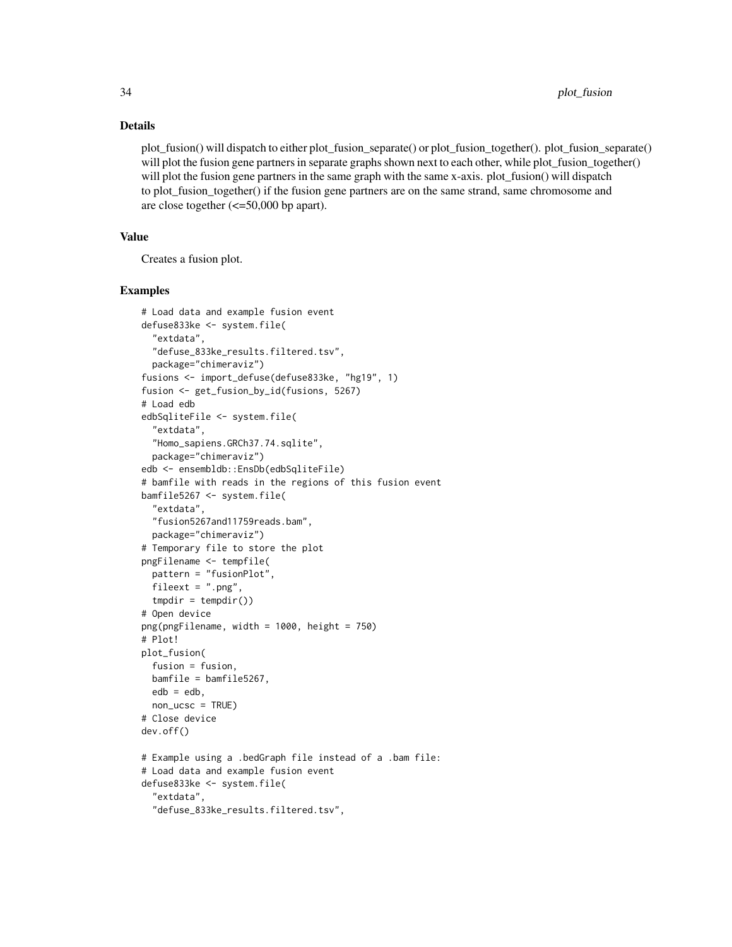#### Details

plot fusion() will dispatch to either plot fusion separate() or plot fusion together(). plot fusion separate() will plot the fusion gene partners in separate graphs shown next to each other, while plot\_fusion\_together() will plot the fusion gene partners in the same graph with the same x-axis. plot\_fusion() will dispatch to plot\_fusion\_together() if the fusion gene partners are on the same strand, same chromosome and are close together (<=50,000 bp apart).

### Value

Creates a fusion plot.

```
# Load data and example fusion event
defuse833ke <- system.file(
  "extdata",
  "defuse_833ke_results.filtered.tsv",
  package="chimeraviz")
fusions <- import_defuse(defuse833ke, "hg19", 1)
fusion <- get_fusion_by_id(fusions, 5267)
# Load edb
edbSqliteFile <- system.file(
  "extdata",
  "Homo_sapiens.GRCh37.74.sqlite",
  package="chimeraviz")
edb <- ensembldb::EnsDb(edbSqliteFile)
# bamfile with reads in the regions of this fusion event
bamfile5267 <- system.file(
  "extdata",
  "fusion5267and11759reads.bam",
  package="chimeraviz")
# Temporary file to store the plot
pngFilename <- tempfile(
  pattern = "fusionPlot",
  fileext = ".png",
  tmpdir = tempdir()# Open device
png(pngFilename, width = 1000, height = 750)
# Plot!
plot_fusion(
  fusion = fusion,
 bamfile = bamfile5267,
  edb = edb,
  non_ucsc = TRUE)
# Close device
dev.off()
# Example using a .bedGraph file instead of a .bam file:
# Load data and example fusion event
defuse833ke <- system.file(
  "extdata",
  "defuse_833ke_results.filtered.tsv",
```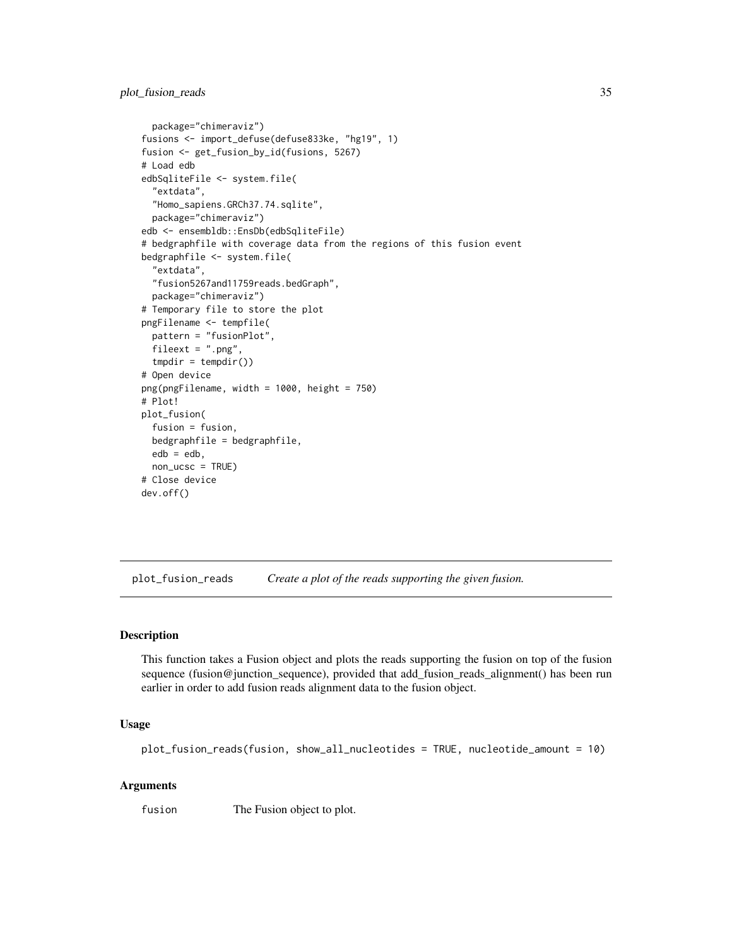```
package="chimeraviz")
fusions <- import_defuse(defuse833ke, "hg19", 1)
fusion <- get_fusion_by_id(fusions, 5267)
# Load edb
edbSqliteFile <- system.file(
  "extdata",
  "Homo_sapiens.GRCh37.74.sqlite",
  package="chimeraviz")
edb <- ensembldb::EnsDb(edbSqliteFile)
# bedgraphfile with coverage data from the regions of this fusion event
bedgraphfile <- system.file(
  "extdata",
  "fusion5267and11759reads.bedGraph",
  package="chimeraviz")
# Temporary file to store the plot
pngFilename <- tempfile(
  pattern = "fusionPlot",
  fileext = ".png",
  tmpdir = tempdir())# Open device
png(pngFilename, width = 1000, height = 750)
# Plot!
plot_fusion(
  fusion = fusion,
  bedgraphfile = bedgraphfile,
  edb = edb,
  non_ucsc = TRUE)
# Close device
dev.off()
```
plot\_fusion\_reads *Create a plot of the reads supporting the given fusion.*

### Description

This function takes a Fusion object and plots the reads supporting the fusion on top of the fusion sequence (fusion@junction\_sequence), provided that add\_fusion\_reads\_alignment() has been run earlier in order to add fusion reads alignment data to the fusion object.

#### Usage

plot\_fusion\_reads(fusion, show\_all\_nucleotides = TRUE, nucleotide\_amount = 10)

#### Arguments

fusion The Fusion object to plot.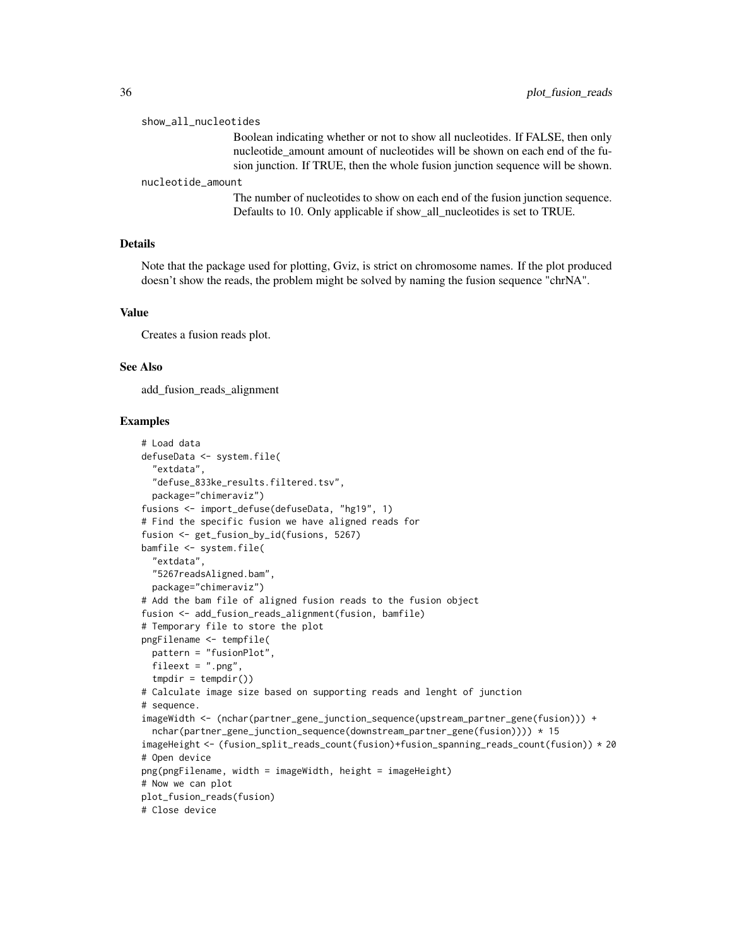#### show\_all\_nucleotides

Boolean indicating whether or not to show all nucleotides. If FALSE, then only nucleotide\_amount amount of nucleotides will be shown on each end of the fusion junction. If TRUE, then the whole fusion junction sequence will be shown.

#### nucleotide\_amount

The number of nucleotides to show on each end of the fusion junction sequence. Defaults to 10. Only applicable if show\_all\_nucleotides is set to TRUE.

### Details

Note that the package used for plotting, Gviz, is strict on chromosome names. If the plot produced doesn't show the reads, the problem might be solved by naming the fusion sequence "chrNA".

#### Value

Creates a fusion reads plot.

#### See Also

add\_fusion\_reads\_alignment

```
# Load data
defuseData <- system.file(
 "extdata",
 "defuse_833ke_results.filtered.tsv",
 package="chimeraviz")
fusions <- import_defuse(defuseData, "hg19", 1)
# Find the specific fusion we have aligned reads for
fusion <- get_fusion_by_id(fusions, 5267)
bamfile <- system.file(
 "extdata",
  "5267readsAligned.bam",
 package="chimeraviz")
# Add the bam file of aligned fusion reads to the fusion object
fusion <- add_fusion_reads_alignment(fusion, bamfile)
# Temporary file to store the plot
pngFilename <- tempfile(
 pattern = "fusionPlot",
 fileext = ".png",
 tmpdir = tempdir())# Calculate image size based on supporting reads and lenght of junction
# sequence.
imageWidth <- (nchar(partner_gene_junction_sequence(upstream_partner_gene(fusion))) +
 nchar(partner_gene_junction_sequence(downstream_partner_gene(fusion)))) * 15
imageHeight <- (fusion_split_reads_count(fusion)+fusion_spanning_reads_count(fusion)) * 20
# Open device
png(pngFilename, width = imageWidth, height = imageHeight)
# Now we can plot
plot_fusion_reads(fusion)
# Close device
```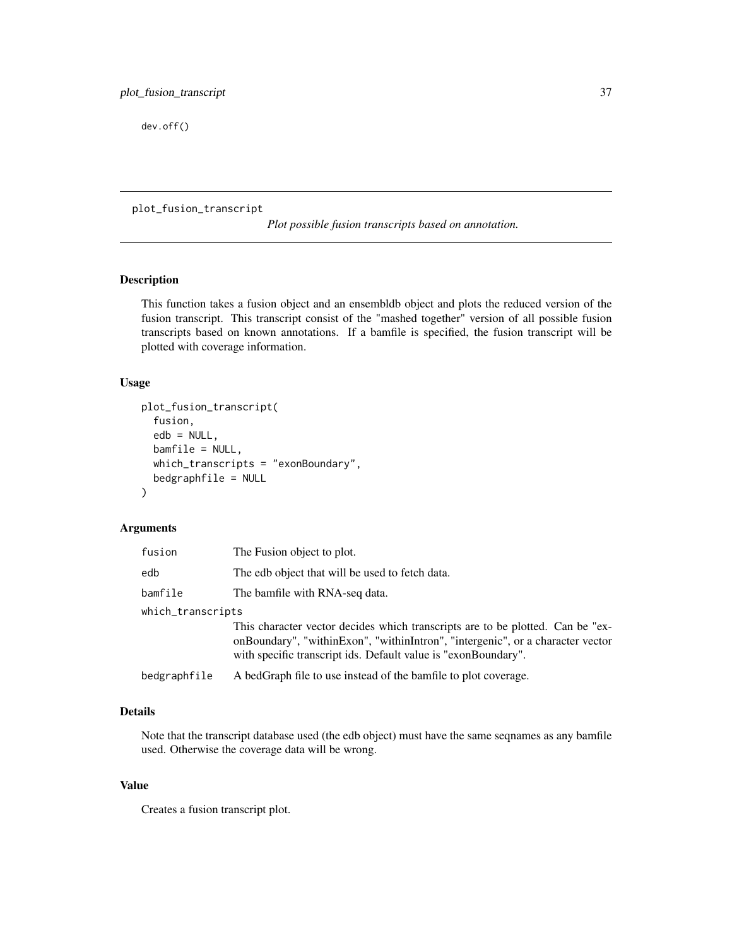<span id="page-36-0"></span>dev.off()

plot\_fusion\_transcript

*Plot possible fusion transcripts based on annotation.*

### Description

This function takes a fusion object and an ensembldb object and plots the reduced version of the fusion transcript. This transcript consist of the "mashed together" version of all possible fusion transcripts based on known annotations. If a bamfile is specified, the fusion transcript will be plotted with coverage information.

### Usage

```
plot_fusion_transcript(
  fusion,
  edb = NULL,
  bamfile = NULL,
  which_transcripts = "exonBoundary",
  bedgraphfile = NULL
)
```
### Arguments

| fusion            | The Fusion object to plot.                                                                                                                                                                                                         |
|-------------------|------------------------------------------------------------------------------------------------------------------------------------------------------------------------------------------------------------------------------------|
| edb               | The edb object that will be used to fetch data.                                                                                                                                                                                    |
| bamfile           | The bamfile with RNA-seq data.                                                                                                                                                                                                     |
| which_transcripts |                                                                                                                                                                                                                                    |
|                   | This character vector decides which transcripts are to be plotted. Can be "ex-<br>onBoundary", "withinExon", "withinIntron", "intergenic", or a character vector<br>with specific transcript ids. Default value is "exonBoundary". |
| bedgraphfile      | A bedGraph file to use instead of the bamfile to plot coverage.                                                                                                                                                                    |

### Details

Note that the transcript database used (the edb object) must have the same seqnames as any bamfile used. Otherwise the coverage data will be wrong.

#### Value

Creates a fusion transcript plot.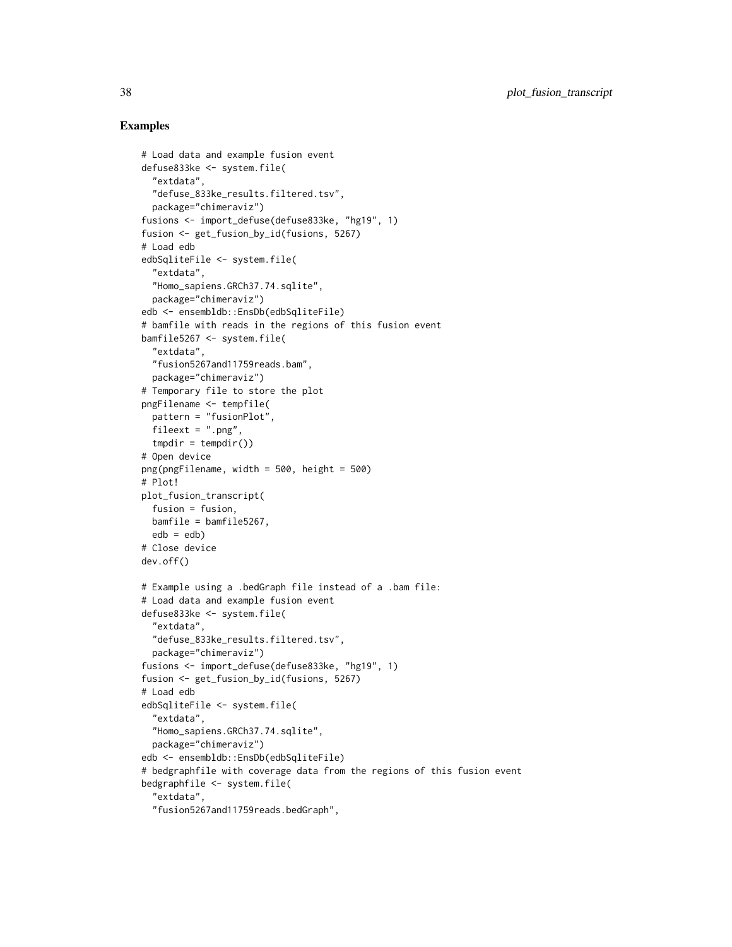```
# Load data and example fusion event
defuse833ke <- system.file(
  "extdata",
  "defuse_833ke_results.filtered.tsv",
  package="chimeraviz")
fusions <- import_defuse(defuse833ke, "hg19", 1)
fusion <- get_fusion_by_id(fusions, 5267)
# Load edb
edbSqliteFile <- system.file(
  "extdata",
  "Homo_sapiens.GRCh37.74.sqlite",
  package="chimeraviz")
edb <- ensembldb::EnsDb(edbSqliteFile)
# bamfile with reads in the regions of this fusion event
bamfile5267 <- system.file(
  "extdata",
  "fusion5267and11759reads.bam",
  package="chimeraviz")
# Temporary file to store the plot
pngFilename <- tempfile(
  pattern = "fusionPlot",
  fileext = ".png",
  tmpdir = tempdir())
# Open device
png(pngFilename, width = 500, height = 500)
# Plot!
plot_fusion_transcript(
  fusion = fusion,
  bamfile = bamfile5267,
  edb = edb)# Close device
dev.off()
# Example using a .bedGraph file instead of a .bam file:
# Load data and example fusion event
defuse833ke <- system.file(
  "extdata",
  "defuse_833ke_results.filtered.tsv",
  package="chimeraviz")
fusions <- import_defuse(defuse833ke, "hg19", 1)
fusion <- get_fusion_by_id(fusions, 5267)
# Load edb
edbSqliteFile <- system.file(
  "extdata",
  "Homo_sapiens.GRCh37.74.sqlite",
  package="chimeraviz")
edb <- ensembldb::EnsDb(edbSqliteFile)
# bedgraphfile with coverage data from the regions of this fusion event
bedgraphfile <- system.file(
  "extdata",
  "fusion5267and11759reads.bedGraph",
```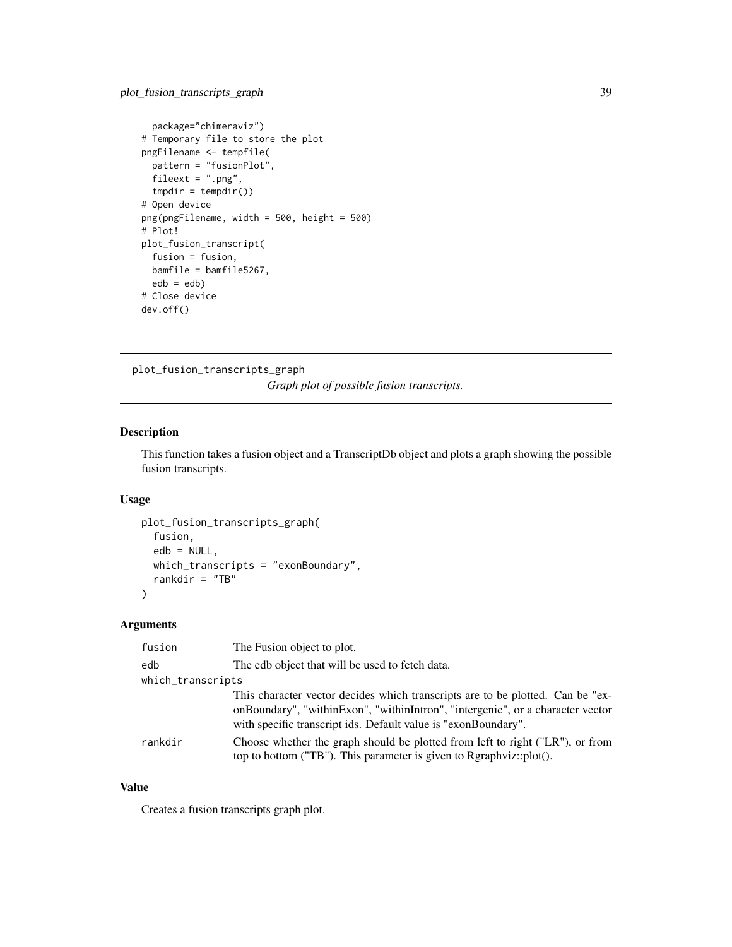```
package="chimeraviz")
# Temporary file to store the plot
pngFilename <- tempfile(
 pattern = "fusionPlot",
  fileext = ".png",
  tmpdir = tempdir())# Open device
png(pngFilename, width = 500, height = 500)
# Plot!
plot_fusion_transcript(
  fusion = fusion,
  bamfile = bamfile5267,
  edb = edb)# Close device
dev.off()
```
plot\_fusion\_transcripts\_graph *Graph plot of possible fusion transcripts.*

### Description

This function takes a fusion object and a TranscriptDb object and plots a graph showing the possible fusion transcripts.

### Usage

```
plot_fusion_transcripts_graph(
  fusion,
  edb = NULL,which_transcripts = "exonBoundary",
  rankdir = "TB"\lambda
```
#### Arguments

| fusion            | The Fusion object to plot.                                                                                                                                                                                                         |
|-------------------|------------------------------------------------------------------------------------------------------------------------------------------------------------------------------------------------------------------------------------|
| edb               | The edb object that will be used to fetch data.                                                                                                                                                                                    |
| which_transcripts |                                                                                                                                                                                                                                    |
|                   | This character vector decides which transcripts are to be plotted. Can be "ex-<br>onBoundary", "withinExon", "withinIntron", "intergenic", or a character vector<br>with specific transcript ids. Default value is "exonBoundary". |
| rankdir           | Choose whether the graph should be plotted from left to right ("LR"), or from<br>top to bottom ("TB"). This parameter is given to Rgraphviz::plot().                                                                               |

### Value

Creates a fusion transcripts graph plot.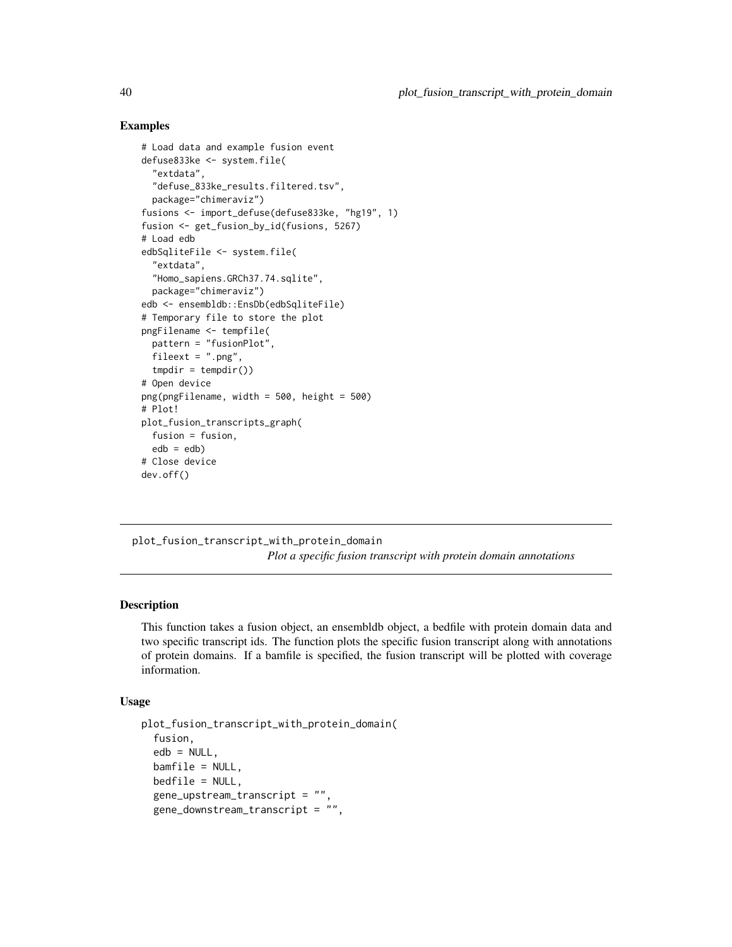### Examples

```
# Load data and example fusion event
defuse833ke <- system.file(
  "extdata",
 "defuse_833ke_results.filtered.tsv",
 package="chimeraviz")
fusions <- import_defuse(defuse833ke, "hg19", 1)
fusion <- get_fusion_by_id(fusions, 5267)
# Load edb
edbSqliteFile <- system.file(
 "extdata",
  "Homo_sapiens.GRCh37.74.sqlite",
 package="chimeraviz")
edb <- ensembldb::EnsDb(edbSqliteFile)
# Temporary file to store the plot
pngFilename <- tempfile(
 pattern = "fusionPlot",
 fileext = ".png",
 tmpdir = tempdir())# Open device
png(pngFilename, width = 500, height = 500)
# Plot!
plot_fusion_transcripts_graph(
 fusion = fusion,
 edb = edb)# Close device
dev.off()
```
plot\_fusion\_transcript\_with\_protein\_domain *Plot a specific fusion transcript with protein domain annotations*

### Description

This function takes a fusion object, an ensembldb object, a bedfile with protein domain data and two specific transcript ids. The function plots the specific fusion transcript along with annotations of protein domains. If a bamfile is specified, the fusion transcript will be plotted with coverage information.

### Usage

```
plot_fusion_transcript_with_protein_domain(
  fusion,
  edb = NULL,bamfile = NULL,
 bedfile = NULL,
  gene_upstream_transcript = "",
  gene_downstream_transcript = "",
```
<span id="page-39-0"></span>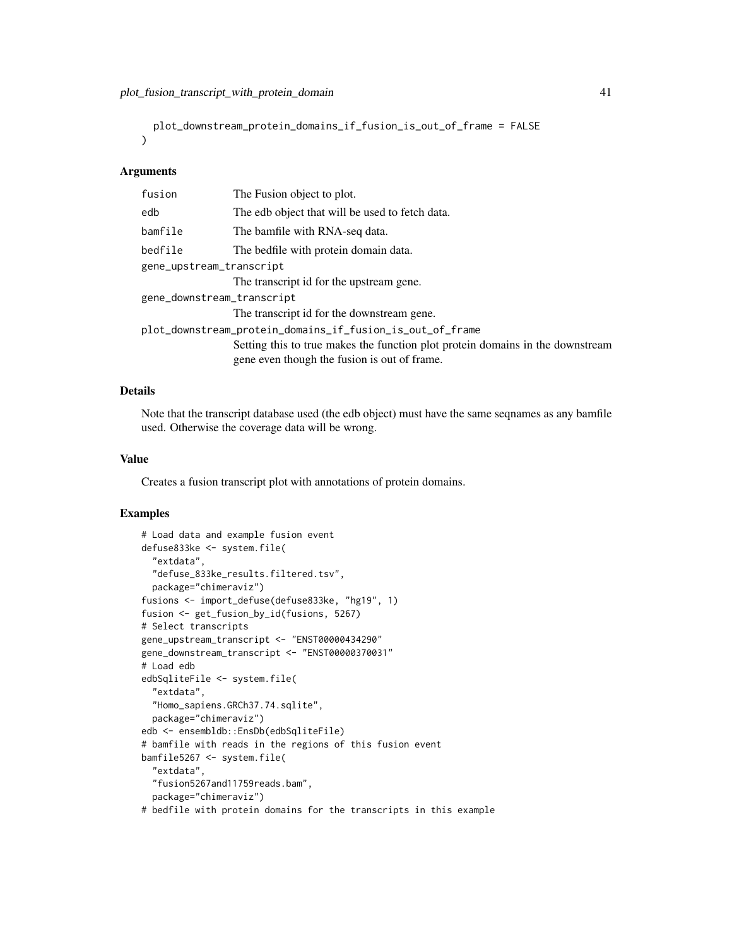```
plot_downstream_protein_domains_if_fusion_is_out_of_frame = FALSE
\lambda
```
### Arguments

| fusion                     | The Fusion object to plot.                                                                                                     |  |
|----------------------------|--------------------------------------------------------------------------------------------------------------------------------|--|
| edb                        | The edb object that will be used to fetch data.                                                                                |  |
| bamfile                    | The bamfile with RNA-seq data.                                                                                                 |  |
| bedfile                    | The bedfile with protein domain data.                                                                                          |  |
| gene_upstream_transcript   |                                                                                                                                |  |
|                            | The transcript id for the upstream gene.                                                                                       |  |
| gene_downstream_transcript |                                                                                                                                |  |
|                            | The transcript id for the downstream gene.                                                                                     |  |
|                            | plot_downstream_protein_domains_if_fusion_is_out_of_frame                                                                      |  |
|                            | Setting this to true makes the function plot protein domains in the downstream<br>gene even though the fusion is out of frame. |  |

### Details

Note that the transcript database used (the edb object) must have the same seqnames as any bamfile used. Otherwise the coverage data will be wrong.

### Value

Creates a fusion transcript plot with annotations of protein domains.

```
# Load data and example fusion event
defuse833ke <- system.file(
  "extdata",
  "defuse_833ke_results.filtered.tsv",
  package="chimeraviz")
fusions <- import_defuse(defuse833ke, "hg19", 1)
fusion <- get_fusion_by_id(fusions, 5267)
# Select transcripts
gene_upstream_transcript <- "ENST00000434290"
gene_downstream_transcript <- "ENST00000370031"
# Load edb
edbSqliteFile <- system.file(
  "extdata",
  "Homo_sapiens.GRCh37.74.sqlite",
  package="chimeraviz")
edb <- ensembldb::EnsDb(edbSqliteFile)
# bamfile with reads in the regions of this fusion event
bamfile5267 <- system.file(
  "extdata",
  "fusion5267and11759reads.bam",
  package="chimeraviz")
```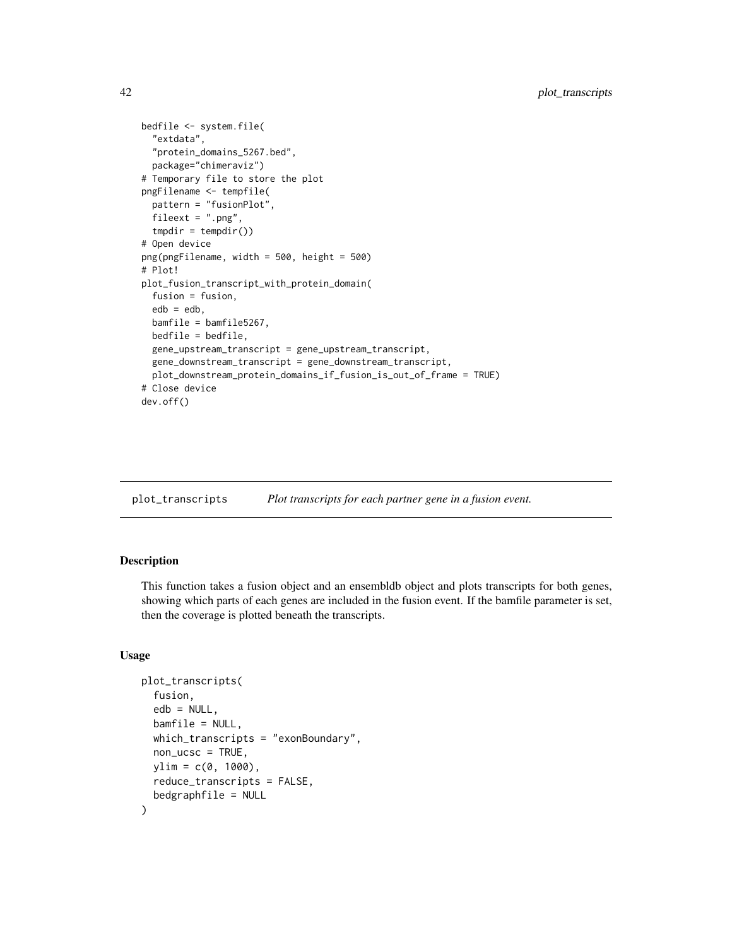```
bedfile <- system.file(
 "extdata",
  "protein_domains_5267.bed",
 package="chimeraviz")
# Temporary file to store the plot
pngFilename <- tempfile(
 pattern = "fusionPlot",
 fileext = " . \text{png},
 tmpdir = tempdir())# Open device
png(pngFilename, width = 500, height = 500)
# Plot!
plot_fusion_transcript_with_protein_domain(
 fusion = fusion,
 edb = edb,
 bamfile = bamfile5267,
 bedfile = bedfile,
 gene_upstream_transcript = gene_upstream_transcript,
 gene_downstream_transcript = gene_downstream_transcript,
 plot_downstream_protein_domains_if_fusion_is_out_of_frame = TRUE)
# Close device
dev.off()
```

| Plot transcripts for each partner gene in a fusion event. | plot_transcripts |  |  |
|-----------------------------------------------------------|------------------|--|--|
|-----------------------------------------------------------|------------------|--|--|

### Description

This function takes a fusion object and an ensembldb object and plots transcripts for both genes, showing which parts of each genes are included in the fusion event. If the bamfile parameter is set, then the coverage is plotted beneath the transcripts.

#### Usage

```
plot_transcripts(
  fusion,
  edb = NULL,bamfile = NULL,
  which_transcripts = "exonBoundary",
  non_ucsc = TRUE,
  vlim = c(0, 1000),
  reduce_transcripts = FALSE,
  bedgraphfile = NULL
)
```
<span id="page-41-0"></span>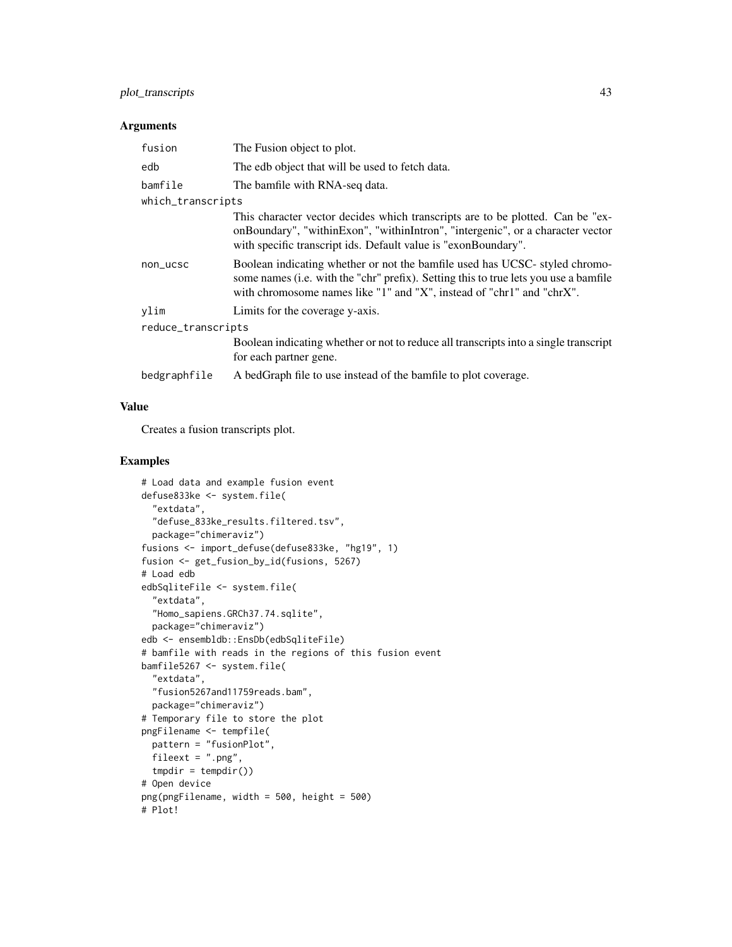### plot\_transcripts 43

### Arguments

| fusion             | The Fusion object to plot.                                                                                                                                                                                                                   |
|--------------------|----------------------------------------------------------------------------------------------------------------------------------------------------------------------------------------------------------------------------------------------|
| edb                | The edb object that will be used to fetch data.                                                                                                                                                                                              |
| bamfile            | The bamfile with RNA-seq data.                                                                                                                                                                                                               |
| which_transcripts  |                                                                                                                                                                                                                                              |
|                    | This character vector decides which transcripts are to be plotted. Can be "ex-<br>onBoundary", "withinExon", "withinIntron", "intergenic", or a character vector<br>with specific transcript ids. Default value is "exonBoundary".           |
| non_ucsc           | Boolean indicating whether or not the bamfile used has UCSC- styled chromo-<br>some names (i.e. with the "chr" prefix). Setting this to true lets you use a bamfile<br>with chromosome names like "1" and "X", instead of "chr1" and "chrX". |
| ylim               | Limits for the coverage y-axis.                                                                                                                                                                                                              |
| reduce_transcripts |                                                                                                                                                                                                                                              |
|                    | Boolean indicating whether or not to reduce all transcripts into a single transcript<br>for each partner gene.                                                                                                                               |
| bedgraphfile       | A bedGraph file to use instead of the bamfile to plot coverage.                                                                                                                                                                              |

### Value

Creates a fusion transcripts plot.

```
# Load data and example fusion event
defuse833ke <- system.file(
  "extdata",
  "defuse_833ke_results.filtered.tsv",
  package="chimeraviz")
fusions <- import_defuse(defuse833ke, "hg19", 1)
fusion <- get_fusion_by_id(fusions, 5267)
# Load edb
edbSqliteFile <- system.file(
  "extdata",
  "Homo_sapiens.GRCh37.74.sqlite",
 package="chimeraviz")
edb <- ensembldb::EnsDb(edbSqliteFile)
# bamfile with reads in the regions of this fusion event
bamfile5267 <- system.file(
  "extdata",
  "fusion5267and11759reads.bam",
  package="chimeraviz")
# Temporary file to store the plot
pngFilename <- tempfile(
  pattern = "fusionPlot",
  fileext = ".png",
  tmpdir = tempdir())# Open device
png(pngFilename, width = 500, height = 500)
# Plot!
```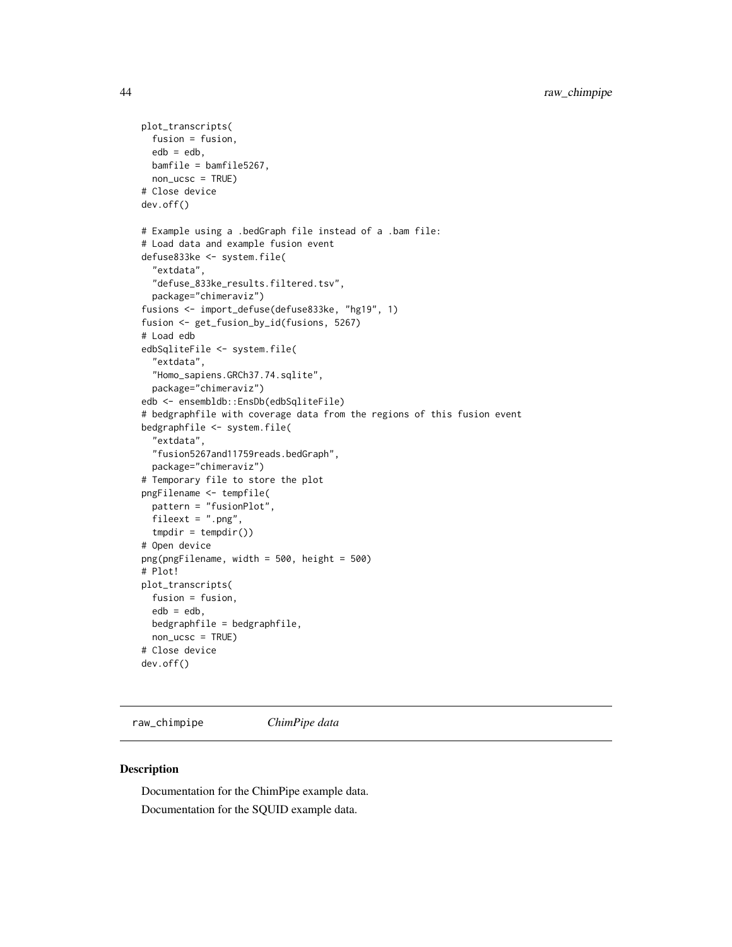```
plot_transcripts(
 fusion = fusion,
 edb = edb,
 bamfile = bamfile5267,
 non_ucsc = TRUE)
# Close device
dev.off()
# Example using a .bedGraph file instead of a .bam file:
# Load data and example fusion event
defuse833ke <- system.file(
 "extdata",
  "defuse_833ke_results.filtered.tsv",
 package="chimeraviz")
fusions <- import_defuse(defuse833ke, "hg19", 1)
fusion <- get_fusion_by_id(fusions, 5267)
# Load edb
edbSqliteFile <- system.file(
 "extdata",
 "Homo_sapiens.GRCh37.74.sqlite",
 package="chimeraviz")
edb <- ensembldb::EnsDb(edbSqliteFile)
# bedgraphfile with coverage data from the regions of this fusion event
bedgraphfile <- system.file(
  "extdata",
  "fusion5267and11759reads.bedGraph",
 package="chimeraviz")
# Temporary file to store the plot
pngFilename <- tempfile(
 pattern = "fusionPlot",
 fileext = ".png",
 tmpdir = tempdir())# Open device
png(pngFilename, width = 500, height = 500)
# Plot!
plot_transcripts(
 fusion = fusion,
 edb = edb,
 bedgraphfile = bedgraphfile,
 non_ucsc = TRUE)
# Close device
dev.off()
```
raw\_chimpipe *ChimPipe data*

#### Description

Documentation for the ChimPipe example data. Documentation for the SQUID example data.

<span id="page-43-0"></span>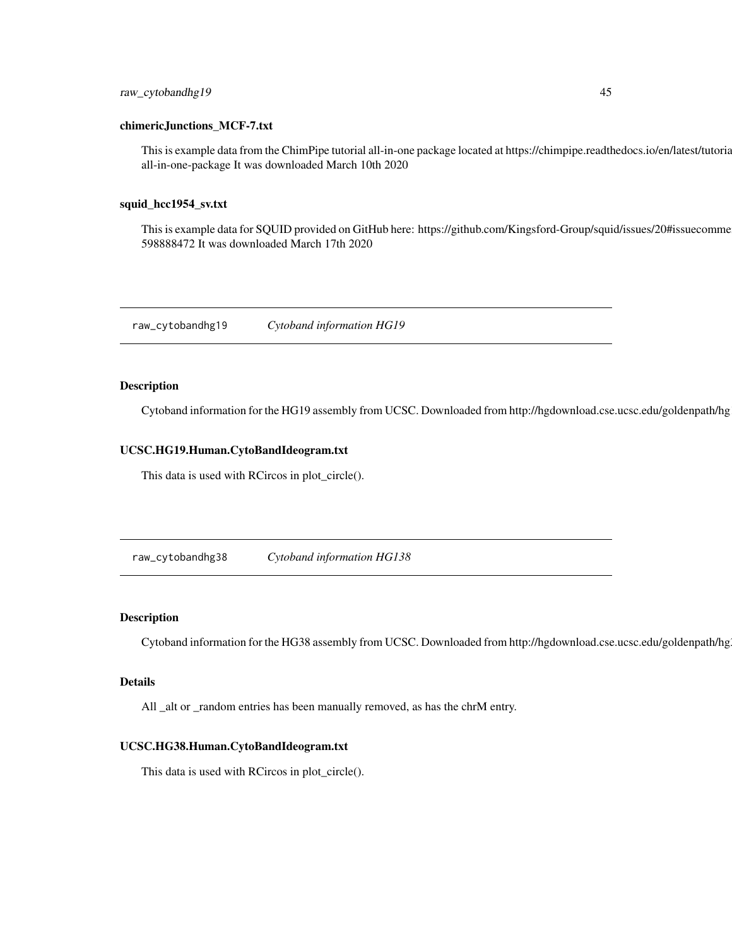### <span id="page-44-0"></span>raw\_cytobandhg19 45

#### chimericJunctions\_MCF-7.txt

This is example data from the ChimPipe tutorial all-in-one package located at https://chimpipe.readthedocs.io/en/latest/tutorial.html all-in-one-package It was downloaded March 10th 2020

#### squid\_hcc1954\_sv.txt

This is example data for SQUID provided on GitHub here: https://github.com/Kingsford-Group/squid/issues/20#issuecomme 598888472 It was downloaded March 17th 2020

raw\_cytobandhg19 *Cytoband information HG19*

### Description

Cytoband information for the HG19 assembly from UCSC. Downloaded from http://hgdownload.cse.ucsc.edu/goldenpath/hg

#### UCSC.HG19.Human.CytoBandIdeogram.txt

This data is used with RCircos in plot\_circle().

raw\_cytobandhg38 *Cytoband information HG138*

### Description

Cytoband information for the HG38 assembly from UCSC. Downloaded from http://hgdownload.cse.ucsc.edu/goldenpath/hg

#### Details

All \_alt or \_random entries has been manually removed, as has the chrM entry.

### UCSC.HG38.Human.CytoBandIdeogram.txt

This data is used with RCircos in plot\_circle().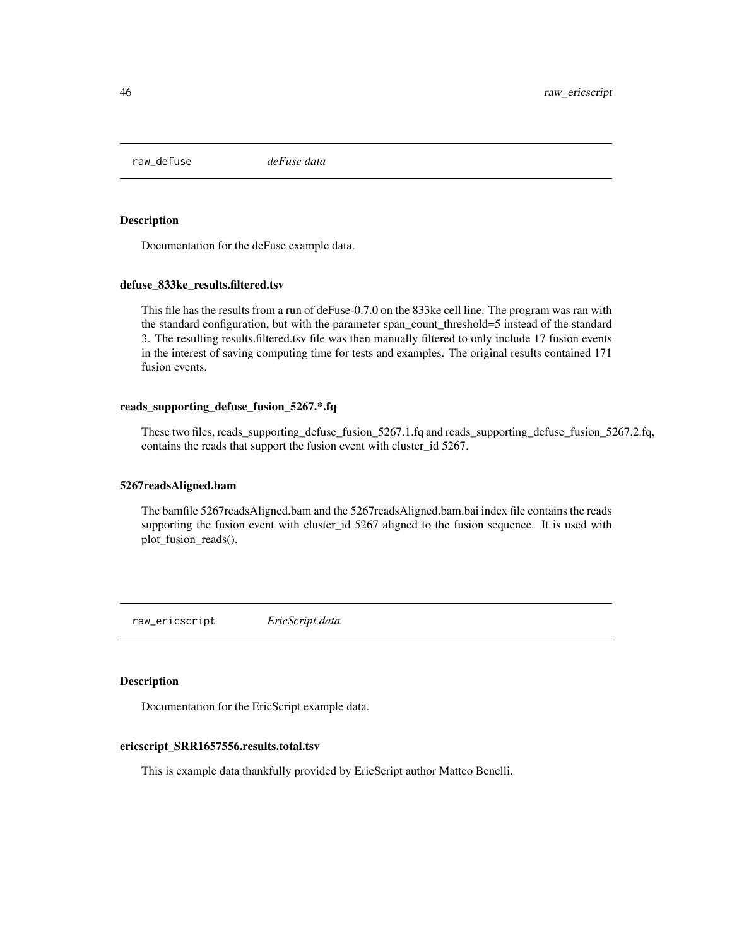<span id="page-45-0"></span>raw\_defuse *deFuse data*

#### Description

Documentation for the deFuse example data.

#### defuse\_833ke\_results.filtered.tsv

This file has the results from a run of deFuse-0.7.0 on the 833ke cell line. The program was ran with the standard configuration, but with the parameter span\_count\_threshold=5 instead of the standard 3. The resulting results.filtered.tsv file was then manually filtered to only include 17 fusion events in the interest of saving computing time for tests and examples. The original results contained 171 fusion events.

#### reads\_supporting\_defuse\_fusion\_5267.\*.fq

These two files, reads\_supporting\_defuse\_fusion\_5267.1.fq and reads\_supporting\_defuse\_fusion\_5267.2.fq, contains the reads that support the fusion event with cluster\_id 5267.

#### 5267readsAligned.bam

The bamfile 5267readsAligned.bam and the 5267readsAligned.bam.bai index file contains the reads supporting the fusion event with cluster\_id 5267 aligned to the fusion sequence. It is used with plot\_fusion\_reads().

raw\_ericscript *EricScript data*

#### Description

Documentation for the EricScript example data.

#### ericscript\_SRR1657556.results.total.tsv

This is example data thankfully provided by EricScript author Matteo Benelli.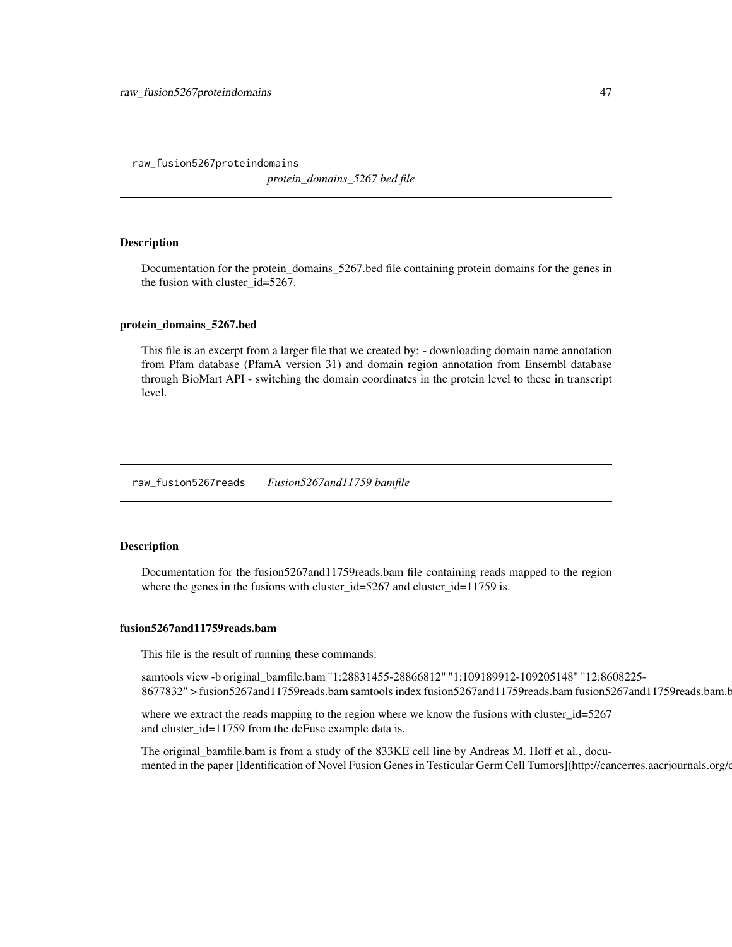<span id="page-46-0"></span>raw\_fusion5267proteindomains *protein\_domains\_5267 bed file*

### Description

Documentation for the protein\_domains\_5267.bed file containing protein domains for the genes in the fusion with cluster\_id=5267.

#### protein\_domains\_5267.bed

This file is an excerpt from a larger file that we created by: - downloading domain name annotation from Pfam database (PfamA version 31) and domain region annotation from Ensembl database through BioMart API - switching the domain coordinates in the protein level to these in transcript level.

raw\_fusion5267reads *Fusion5267and11759 bamfile*

### Description

Documentation for the fusion5267and11759reads.bam file containing reads mapped to the region where the genes in the fusions with cluster\_id=5267 and cluster\_id=11759 is.

#### fusion5267and11759reads.bam

This file is the result of running these commands:

samtools view -b original\_bamfile.bam "1:28831455-28866812" "1:109189912-109205148" "12:8608225- 8677832" > fusion5267and11759reads.bam samtools index fusion5267and11759reads.bam fusion5267and11759reads.bam.bai

where we extract the reads mapping to the region where we know the fusions with cluster\_id=5267 and cluster\_id=11759 from the deFuse example data is.

The original\_bamfile.bam is from a study of the 833KE cell line by Andreas M. Hoff et al., documented in the paper [Identification of Novel Fusion Genes in Testicular Germ Cell Tumors](http://cancerres.aacrjournals.org/c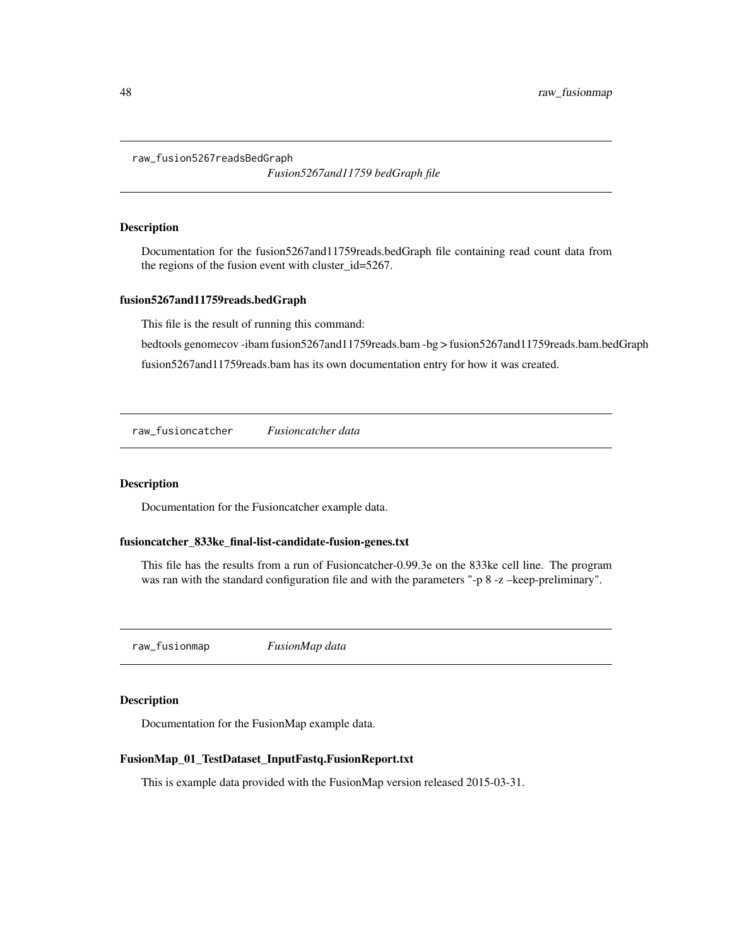<span id="page-47-0"></span>raw\_fusion5267readsBedGraph

*Fusion5267and11759 bedGraph file*

#### Description

Documentation for the fusion5267and11759reads.bedGraph file containing read count data from the regions of the fusion event with cluster\_id=5267.

#### fusion5267and11759reads.bedGraph

This file is the result of running this command:

bedtools genomecov -ibam fusion5267and11759reads.bam -bg > fusion5267and11759reads.bam.bedGraph

fusion5267and11759reads.bam has its own documentation entry for how it was created.

raw\_fusioncatcher *Fusioncatcher data*

### Description

Documentation for the Fusioncatcher example data.

#### fusioncatcher\_833ke\_final-list-candidate-fusion-genes.txt

This file has the results from a run of Fusioncatcher-0.99.3e on the 833ke cell line. The program was ran with the standard configuration file and with the parameters "-p 8 -z -keep-preliminary".

raw\_fusionmap *FusionMap data*

#### Description

Documentation for the FusionMap example data.

#### FusionMap\_01\_TestDataset\_InputFastq.FusionReport.txt

This is example data provided with the FusionMap version released 2015-03-31.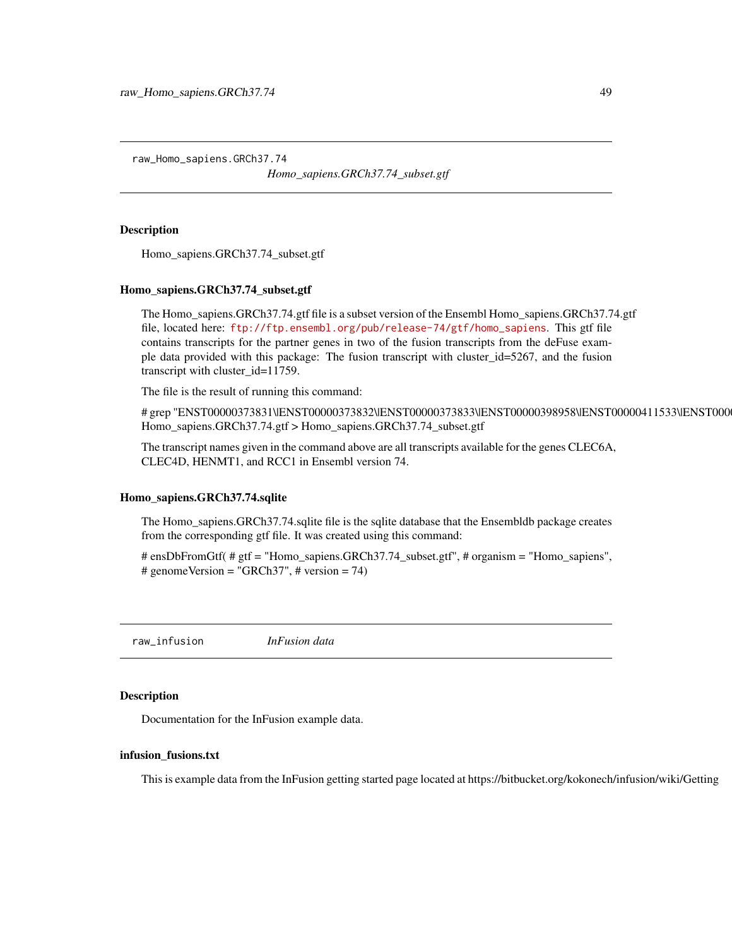<span id="page-48-0"></span>raw\_Homo\_sapiens.GRCh37.74

*Homo\_sapiens.GRCh37.74\_subset.gtf*

#### Description

Homo\_sapiens.GRCh37.74\_subset.gtf

#### Homo\_sapiens.GRCh37.74\_subset.gtf

The Homo\_sapiens.GRCh37.74.gtf file is a subset version of the Ensembl Homo\_sapiens.GRCh37.74.gtf file, located here: [ftp://ftp.ensembl.org/pub/release-74/gtf/homo\\_sapiens](ftp://ftp.ensembl.org/pub/release-74/gtf/homo_sapiens). This gtf file contains transcripts for the partner genes in two of the fusion transcripts from the deFuse example data provided with this package: The fusion transcript with cluster\_id=5267, and the fusion transcript with cluster\_id=11759.

The file is the result of running this command:

#grep "ENST00000373831\|ENST00000373832\|ENST00000373833\|ENST00000398958\|ENST00000411533\|ENST000 Homo\_sapiens.GRCh37.74.gtf > Homo\_sapiens.GRCh37.74\_subset.gtf

The transcript names given in the command above are all transcripts available for the genes CLEC6A, CLEC4D, HENMT1, and RCC1 in Ensembl version 74.

#### Homo\_sapiens.GRCh37.74.sqlite

The Homo\_sapiens.GRCh37.74.sqlite file is the sqlite database that the Ensembldb package creates from the corresponding gtf file. It was created using this command:

# ensDbFromGtf( # gtf = "Homo\_sapiens.GRCh37.74\_subset.gtf", # organism = "Homo\_sapiens", # genomeVersion = "GRCh37", # version = 74)

raw\_infusion *InFusion data*

#### Description

Documentation for the InFusion example data.

#### infusion\_fusions.txt

This is example data from the InFusion getting started page located at https://bitbucket.org/kokonech/infusion/wiki/Getting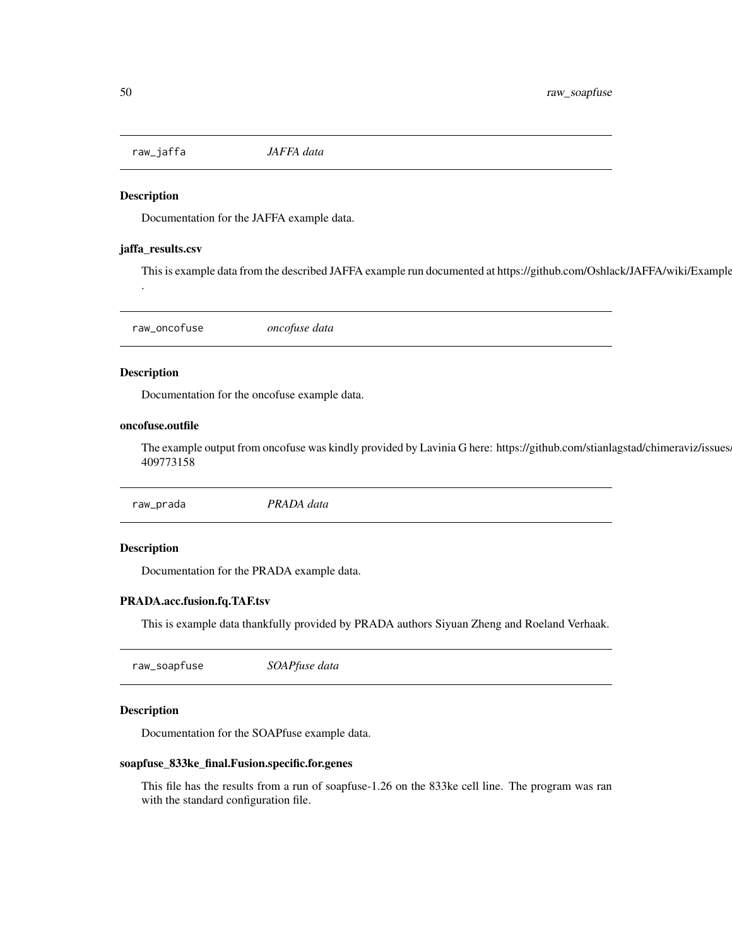<span id="page-49-0"></span>raw\_jaffa *JAFFA data*

### Description

Documentation for the JAFFA example data.

#### jaffa\_results.csv

This is example data from the described JAFFA example run documented at https://github.com/Oshlack/JAFFA/wiki/Example

raw\_oncofuse *oncofuse data*

#### Description

.

Documentation for the oncofuse example data.

#### oncofuse.outfile

The example output from oncofuse was kindly provided by Lavinia G here: https://github.com/stianlagstad/chimeraviz/issues 409773158

raw\_prada *PRADA data*

#### Description

Documentation for the PRADA example data.

### PRADA.acc.fusion.fq.TAF.tsv

This is example data thankfully provided by PRADA authors Siyuan Zheng and Roeland Verhaak.

raw\_soapfuse *SOAPfuse data*

### Description

Documentation for the SOAPfuse example data.

#### soapfuse\_833ke\_final.Fusion.specific.for.genes

This file has the results from a run of soapfuse-1.26 on the 833ke cell line. The program was ran with the standard configuration file.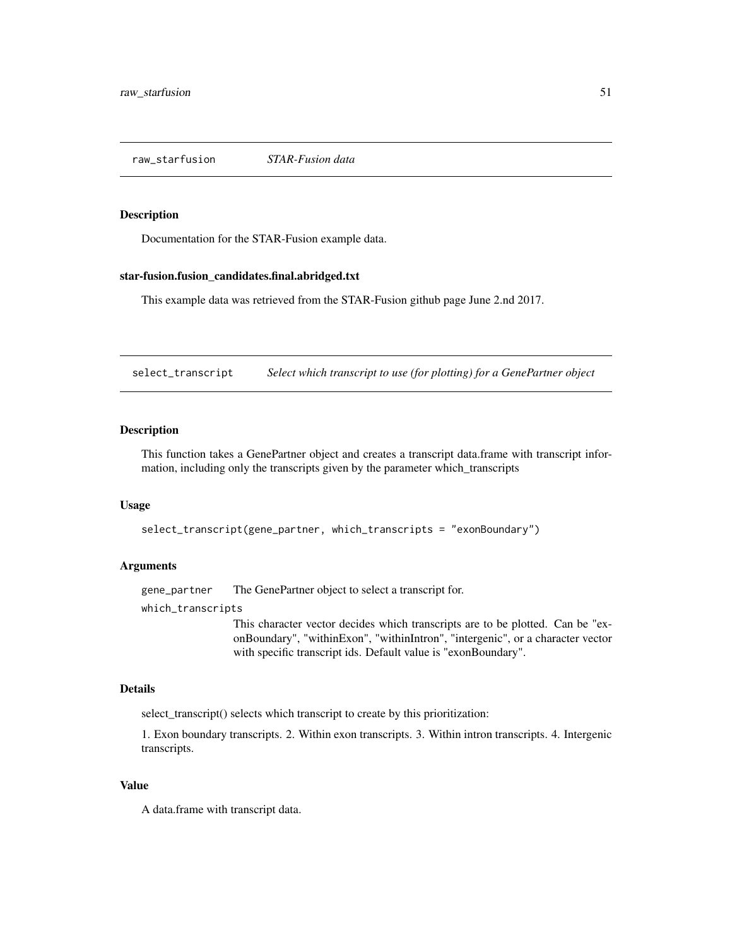<span id="page-50-0"></span>raw\_starfusion *STAR-Fusion data*

#### Description

Documentation for the STAR-Fusion example data.

### star-fusion.fusion\_candidates.final.abridged.txt

This example data was retrieved from the STAR-Fusion github page June 2.nd 2017.

select\_transcript *Select which transcript to use (for plotting) for a GenePartner object*

### Description

This function takes a GenePartner object and creates a transcript data.frame with transcript information, including only the transcripts given by the parameter which\_transcripts

#### Usage

select\_transcript(gene\_partner, which\_transcripts = "exonBoundary")

#### Arguments

gene\_partner The GenePartner object to select a transcript for.

which\_transcripts

This character vector decides which transcripts are to be plotted. Can be "exonBoundary", "withinExon", "withinIntron", "intergenic", or a character vector with specific transcript ids. Default value is "exonBoundary".

### Details

select\_transcript() selects which transcript to create by this prioritization:

1. Exon boundary transcripts. 2. Within exon transcripts. 3. Within intron transcripts. 4. Intergenic transcripts.

#### Value

A data.frame with transcript data.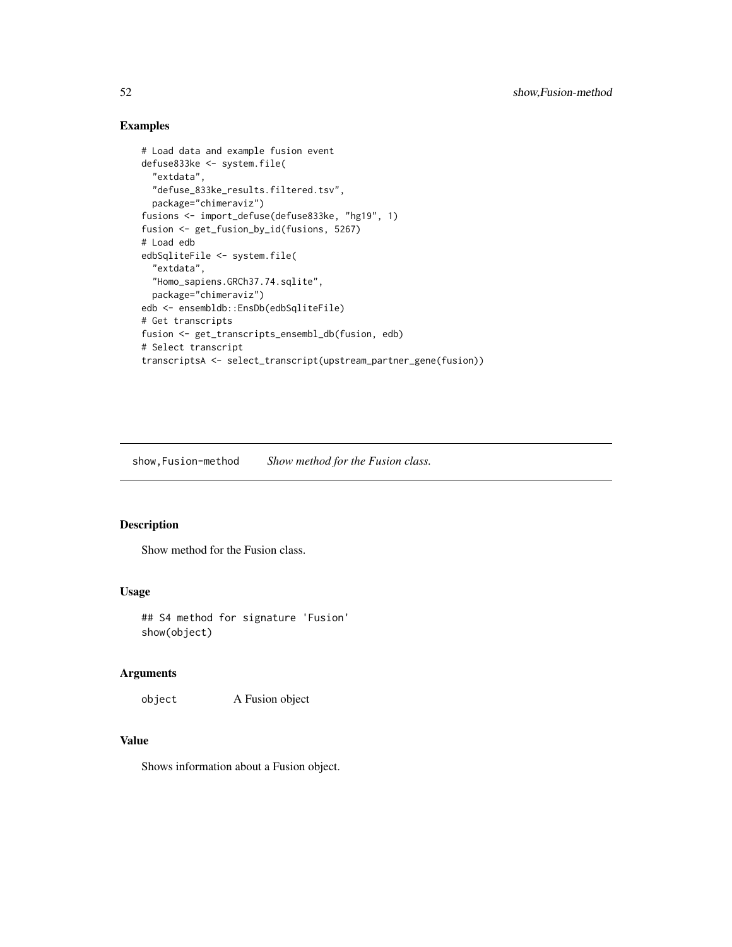### Examples

```
# Load data and example fusion event
defuse833ke <- system.file(
 "extdata",
 "defuse_833ke_results.filtered.tsv",
 package="chimeraviz")
fusions <- import_defuse(defuse833ke, "hg19", 1)
fusion <- get_fusion_by_id(fusions, 5267)
# Load edb
edbSqliteFile <- system.file(
 "extdata",
 "Homo_sapiens.GRCh37.74.sqlite",
 package="chimeraviz")
edb <- ensembldb::EnsDb(edbSqliteFile)
# Get transcripts
fusion <- get_transcripts_ensembl_db(fusion, edb)
# Select transcript
transcriptsA <- select_transcript(upstream_partner_gene(fusion))
```
show,Fusion-method *Show method for the Fusion class.*

#### Description

Show method for the Fusion class.

### Usage

## S4 method for signature 'Fusion' show(object)

### Arguments

object A Fusion object

### Value

Shows information about a Fusion object.

<span id="page-51-0"></span>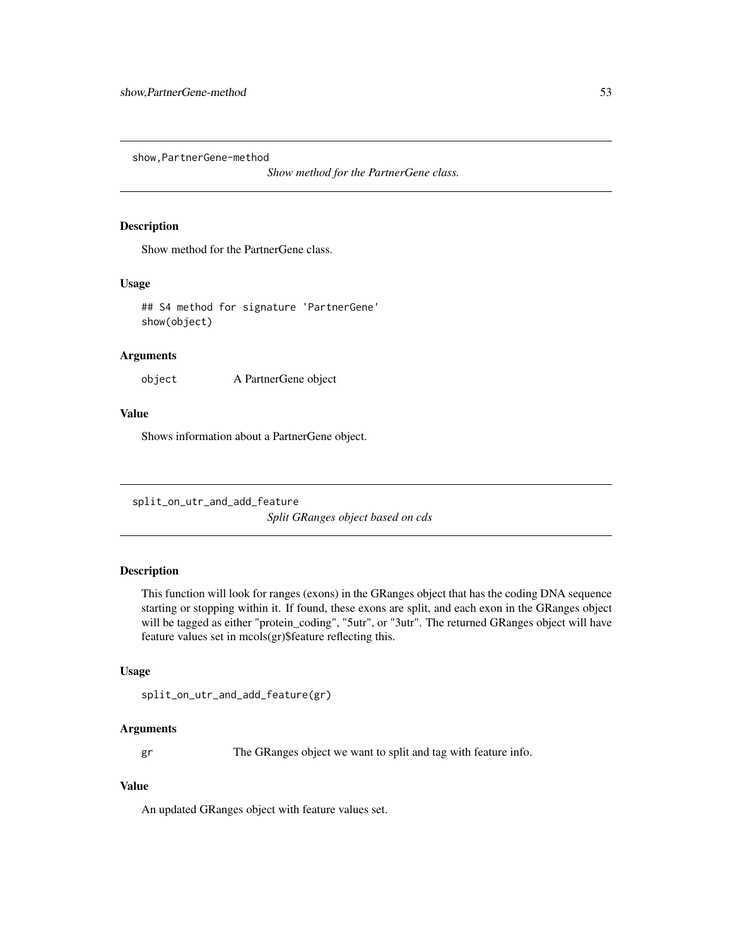<span id="page-52-0"></span>show,PartnerGene-method

*Show method for the PartnerGene class.*

#### Description

Show method for the PartnerGene class.

#### Usage

## S4 method for signature 'PartnerGene' show(object)

#### Arguments

object A PartnerGene object

#### Value

Shows information about a PartnerGene object.

split\_on\_utr\_and\_add\_feature *Split GRanges object based on cds*

### Description

This function will look for ranges (exons) in the GRanges object that has the coding DNA sequence starting or stopping within it. If found, these exons are split, and each exon in the GRanges object will be tagged as either "protein\_coding", "5utr", or "3utr". The returned GRanges object will have feature values set in mcols(gr)\$feature reflecting this.

#### Usage

```
split_on_utr_and_add_feature(gr)
```
### Arguments

gr The GRanges object we want to split and tag with feature info.

#### Value

An updated GRanges object with feature values set.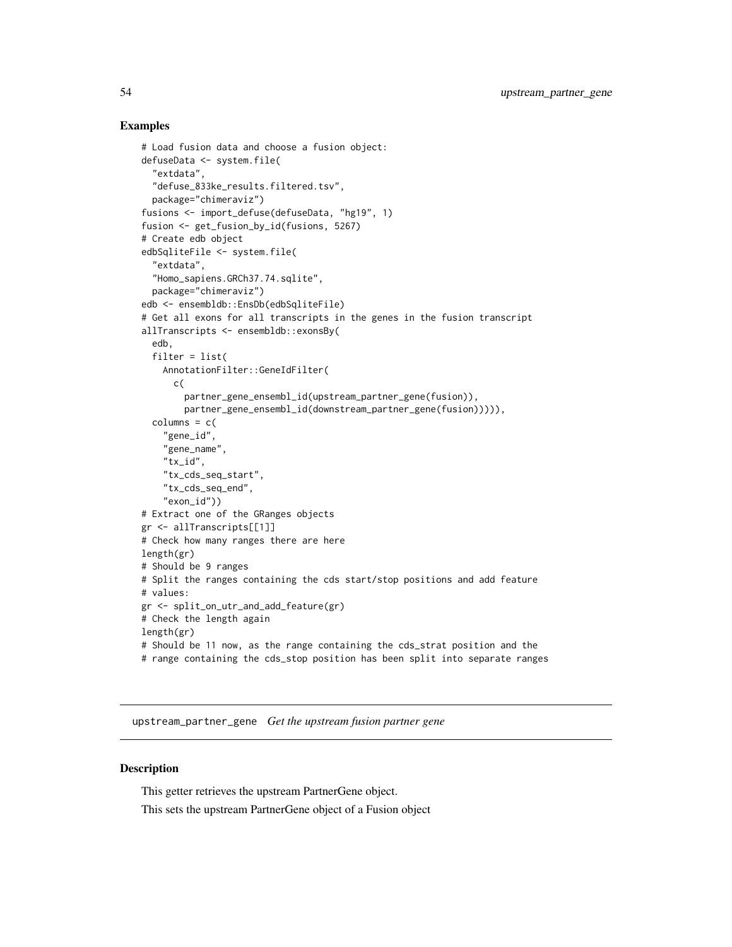### Examples

```
# Load fusion data and choose a fusion object:
defuseData <- system.file(
  "extdata",
  "defuse_833ke_results.filtered.tsv",
  package="chimeraviz")
fusions <- import_defuse(defuseData, "hg19", 1)
fusion <- get_fusion_by_id(fusions, 5267)
# Create edb object
edbSqliteFile <- system.file(
  "extdata",
  "Homo_sapiens.GRCh37.74.sqlite",
  package="chimeraviz")
edb <- ensembldb::EnsDb(edbSqliteFile)
# Get all exons for all transcripts in the genes in the fusion transcript
allTranscripts <- ensembldb::exonsBy(
  edb,
  filter = list(
    AnnotationFilter::GeneIdFilter(
      c(
        partner_gene_ensembl_id(upstream_partner_gene(fusion)),
        partner_gene_ensembl_id(downstream_partner_gene(fusion))))),
  columns = c(
    "gene_id",
    "gene_name",
    "tx_id",
    "tx_cds_seq_start",
    "tx_cds_seq_end",
    "exon_id"))
# Extract one of the GRanges objects
gr <- allTranscripts[[1]]
# Check how many ranges there are here
length(gr)
# Should be 9 ranges
# Split the ranges containing the cds start/stop positions and add feature
# values:
gr <- split_on_utr_and_add_feature(gr)
# Check the length again
length(gr)
# Should be 11 now, as the range containing the cds_strat position and the
# range containing the cds_stop position has been split into separate ranges
```
upstream\_partner\_gene *Get the upstream fusion partner gene*

### Description

This getter retrieves the upstream PartnerGene object.

This sets the upstream PartnerGene object of a Fusion object

<span id="page-53-0"></span>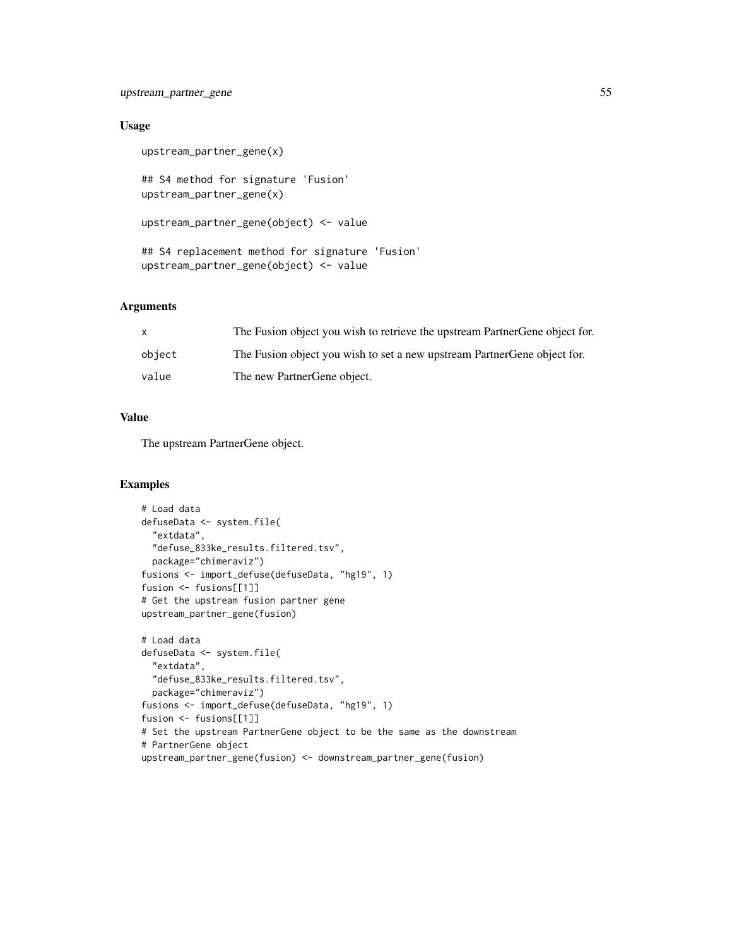### upstream\_partner\_gene 55

### Usage

```
upstream_partner_gene(x)
## S4 method for signature 'Fusion'
upstream_partner_gene(x)
upstream_partner_gene(object) <- value
## S4 replacement method for signature 'Fusion'
upstream_partner_gene(object) <- value
```
### Arguments

| X      | The Fusion object you wish to retrieve the upstream Partner Gene object for. |
|--------|------------------------------------------------------------------------------|
| object | The Fusion object you wish to set a new upstream Partner Gene object for.    |
| value  | The new PartnerGene object.                                                  |

### Value

The upstream PartnerGene object.

```
# Load data
defuseData <- system.file(
  "extdata",
  "defuse_833ke_results.filtered.tsv",
  package="chimeraviz")
fusions <- import_defuse(defuseData, "hg19", 1)
fusion <- fusions[[1]]
# Get the upstream fusion partner gene
upstream_partner_gene(fusion)
# Load data
defuseData <- system.file(
  "extdata",
  "defuse_833ke_results.filtered.tsv",
 package="chimeraviz")
fusions <- import_defuse(defuseData, "hg19", 1)
fusion <- fusions[[1]]
# Set the upstream PartnerGene object to be the same as the downstream
# PartnerGene object
upstream_partner_gene(fusion) <- downstream_partner_gene(fusion)
```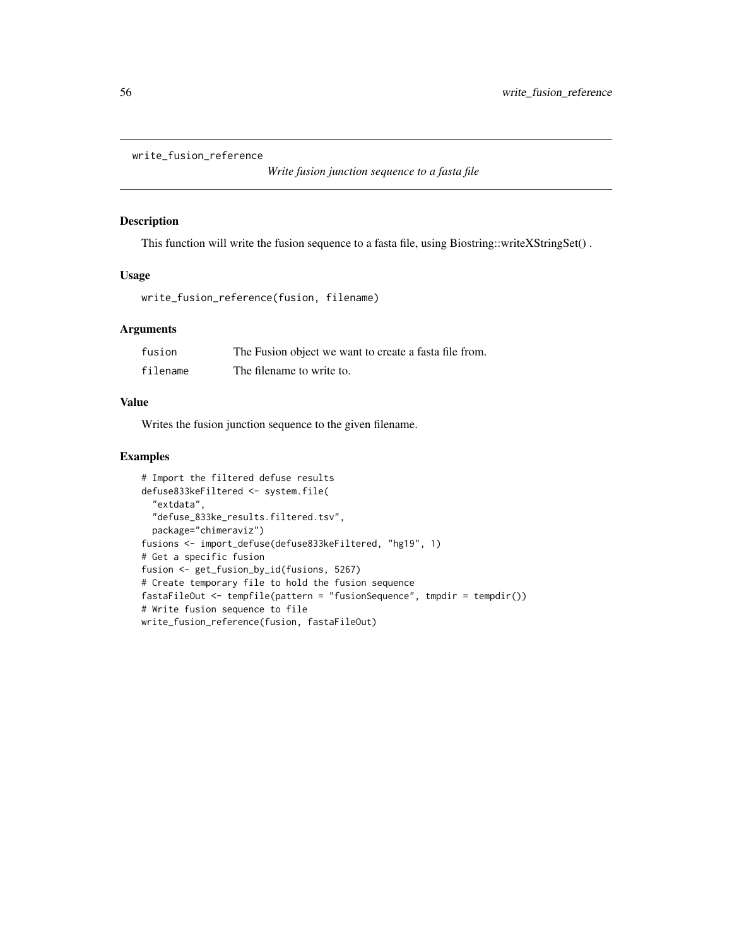```
write_fusion_reference
```

```
Write fusion junction sequence to a fasta file
```
#### Description

This function will write the fusion sequence to a fasta file, using Biostring::writeXStringSet() .

### Usage

```
write_fusion_reference(fusion, filename)
```
### Arguments

| fusion   | The Fusion object we want to create a fasta file from. |
|----------|--------------------------------------------------------|
| filename | The filename to write to.                              |

### Value

Writes the fusion junction sequence to the given filename.

```
# Import the filtered defuse results
defuse833keFiltered <- system.file(
  "extdata",
  "defuse_833ke_results.filtered.tsv",
  package="chimeraviz")
fusions <- import_defuse(defuse833keFiltered, "hg19", 1)
# Get a specific fusion
fusion <- get_fusion_by_id(fusions, 5267)
# Create temporary file to hold the fusion sequence
fastaFileOut <- tempfile(pattern = "fusionSequence", tmpdir = tempdir())
# Write fusion sequence to file
write_fusion_reference(fusion, fastaFileOut)
```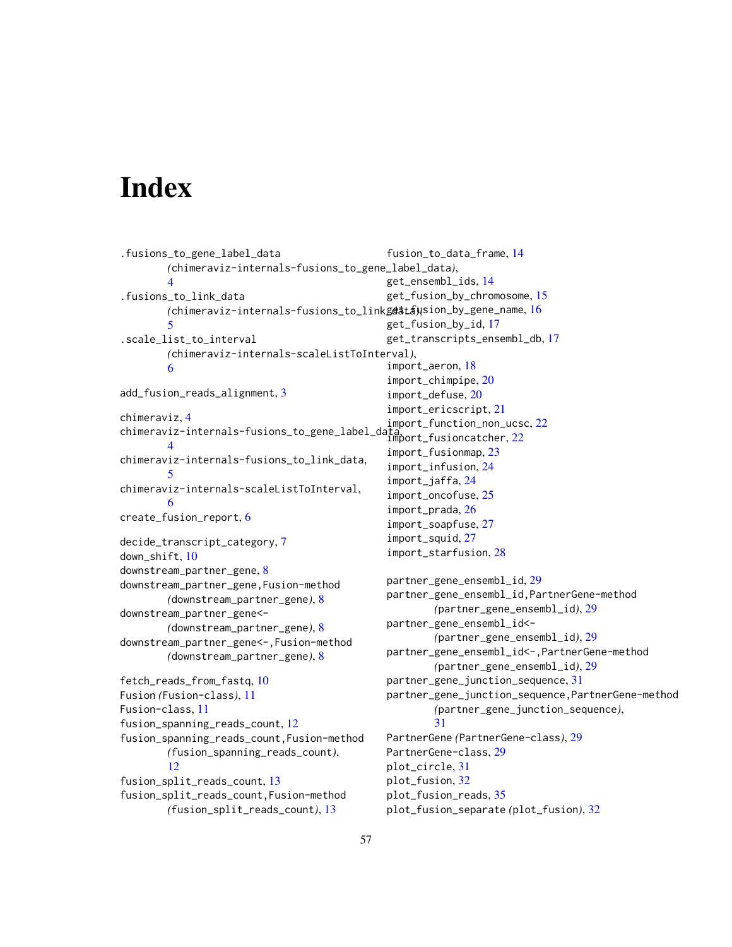# <span id="page-56-0"></span>**Index**

```
.fusions_to_gene_label_data
        (chimeraviz-internals-fusions_to_gene_label_data),
        4
.fusions_to_link_data
        (chimeraviz-internals-fusions_to_link_data),
get_fusion_by_gene_name, 16
        5
.scale_list_to_interval
        (chimeraviz-internals-scaleListToInterval),
        6
add_fusion_reads_alignment, 3
chimeraviz, 4
chimeraviz-internals-fusions_to_gene_label_data,
import_fusioncatcher, 22
        \Deltachimeraviz-internals-fusions_to_link_data,
        5
chimeraviz-internals-scaleListToInterval,
        6
create_fusion_report, 6
decide_transcript_category, 7
down_shift, 10
downstream_partner_gene, 8
downstream_partner_gene,Fusion-method
        (downstream_partner_gene), 8
downstream_partner_gene<-
        (downstream_partner_gene), 8
downstream_partner_gene<-,Fusion-method
        (downstream_partner_gene), 8
fetch_reads_from_fastq, 10
Fusion (Fusion-class), 11
Fusion-class, 11
fusion_spanning_reads_count, 12
fusion_spanning_reads_count,Fusion-method
        (fusion_spanning_reads_count),
        12
fusion_split_reads_count, 13
fusion_split_reads_count,Fusion-method
        (fusion_split_reads_count), 13
                                               fusion_to_data_frame, 14
                                               get_ensembl_ids, 14
                                               get_fusion_by_chromosome, 15
                                               get_fusion_by_id, 17
                                               get_transcripts_ensembl_db, 17
                                               import_aeron, 18
                                               import_chimpipe, 20
                                               import_defuse, 20
                                               import_ericscript, 21
                                               import_function_non_ucsc, 22
                                               import_fusionmap, 23
                                               import_infusion, 24
                                               import_jaffa, 24
                                               import_oncofuse, 25
                                               import_prada, 26
                                               import_soapfuse, 27
                                               import_squid, 27
                                               import_starfusion, 28
                                               partner_gene_ensembl_id, 29
                                               partner_gene_ensembl_id,PartnerGene-method
                                                        (partner_gene_ensembl_id), 29
                                               partner_gene_ensembl_id<-
                                                        (partner_gene_ensembl_id), 29
                                               partner_gene_ensembl_id<-,PartnerGene-method
                                                        (partner_gene_ensembl_id), 29
                                               partner_gene_junction_sequence, 31
                                               partner_gene_junction_sequence,PartnerGene-method
                                                        (partner_gene_junction_sequence),
                                                        31
                                               PartnerGene (PartnerGene-class), 29
                                               PartnerGene-class, 29
                                               plot_circle, 31
                                               plot_fusion, 32
                                               plot_fusion_reads, 35
                                               plot_fusion_separate (plot_fusion), 32
```